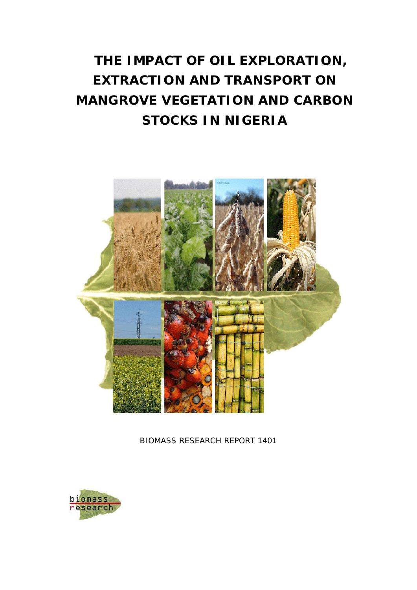# **THE IMPACT OF OIL EXPLORATION, EXTRACTION AND TRANSPORT ON MANGROVE VEGETATION AND CARBON STOCKS IN NIGERIA**



BIOMASS RESEARCH REPORT 1401

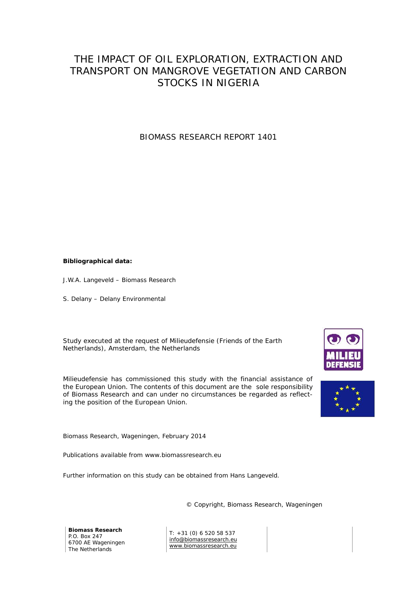### THE IMPACT OF OIL EXPLORATION, EXTRACTION AND TRANSPORT ON MANGROVE VEGETATION AND CARBON STOCKS IN NIGERIA

#### BIOMASS RESEARCH REPORT 1401

**Bibliographical data:**

J.W.A. Langeveld – Biomass Research

S. Delany – Delany Environmental

Study executed at the request of Milieudefensie (Friends of the Earth Netherlands), Amsterdam, the Netherlands

Milieudefensie has commissioned this study with the financial assistance of the European Union. The contents of this document are the sole responsibility of Biomass Research and can under no circumstances be regarded as reflecting the position of the European Union.

Biomass Research, Wageningen, February 2014

Publications available from www.biomassresearch.eu

Further information on this study can be obtained from Hans Langeveld.

© Copyright, Biomass Research, Wageningen

**Biomass Research** P.O. Box 247 6700 AE Wageningen The Netherlands

*T:* +31 (0) 6 520 58 537 info@biomassresearch.eu www.biomassresearch.eu



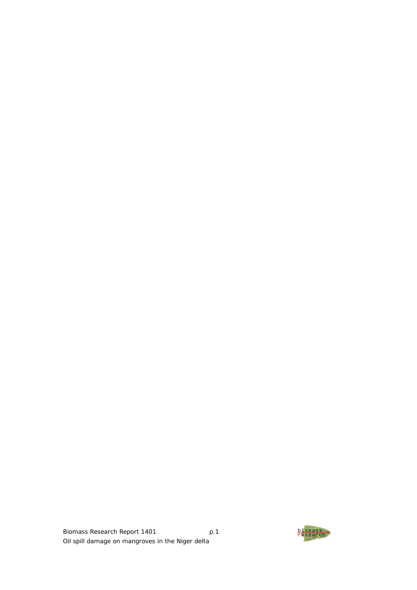Biomass Research Report 1401 https://www.p.1 Oil spill damage on mangroves in the Niger delta

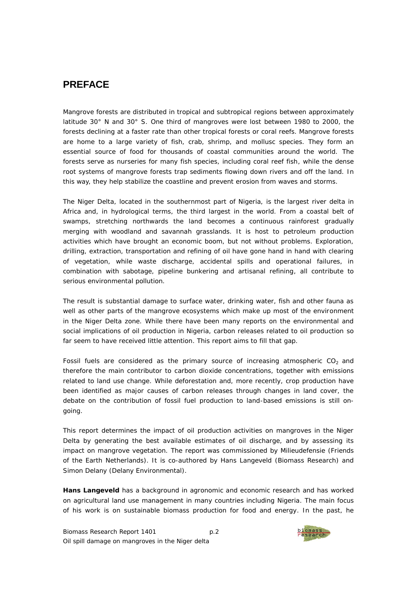#### **PREFACE**

Mangrove forests are distributed in tropical and subtropical regions between approximately latitude 30° N and 30° S. One third of mangroves were lost between 1980 to 2000, the forests declining at a faster rate than other tropical forests or coral reefs. Mangrove forests are home to a large variety of fish, crab, shrimp, and mollusc species. They form an essential source of food for thousands of coastal communities around the world. The forests serve as nurseries for many fish species, including coral reef fish, while the dense root systems of mangrove forests trap sediments flowing down rivers and off the land. In this way, they help stabilize the coastline and prevent erosion from waves and storms.

The Niger Delta, located in the southernmost part of Nigeria, is the largest river delta in Africa and, in hydrological terms, the third largest in the world. From a coastal belt of swamps, stretching northwards the land becomes a continuous rainforest gradually merging with woodland and savannah grasslands. It is host to petroleum production activities which have brought an economic boom, but not without problems. Exploration, drilling, extraction, transportation and refining of oil have gone hand in hand with clearing of vegetation, while waste discharge, accidental spills and operational failures, in combination with sabotage, pipeline bunkering and artisanal refining, all contribute to serious environmental pollution.

The result is substantial damage to surface water, drinking water, fish and other fauna as well as other parts of the mangrove ecosystems which make up most of the environment in the Niger Delta zone. While there have been many reports on the environmental and social implications of oil production in Nigeria, carbon releases related to oil production so far seem to have received little attention. This report aims to fill that gap.

Fossil fuels are considered as the primary source of increasing atmospheric  $CO<sub>2</sub>$  and therefore the main contributor to carbon dioxide concentrations, together with emissions related to land use change. While deforestation and, more recently, crop production have been identified as major causes of carbon releases through changes in land cover, the debate on the contribution of fossil fuel production to land-based emissions is still on going.

This report determines the impact of oil production activities on mangroves in the Niger Delta by generating the best available estimates of oil discharge, and by assessing its impact on mangrove vegetation. The report was commissioned by Milieudefensie (Friends of the Earth Netherlands). It is co-authored by Hans Langeveld (Biomass Research) and Simon Delany (Delany Environmental).

**Hans Langeveld** has a background in agronomic and economic research and has worked on agricultural land use management in many countries including Nigeria. The main focus of his work is on sustainable biomass production for food and energy. In the past, he

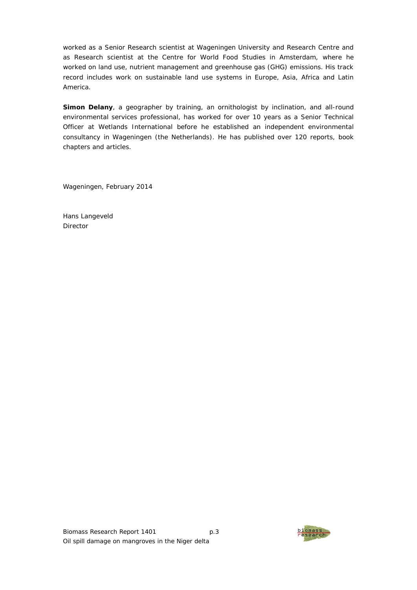worked as a Senior Research scientist at Wageningen University and Research Centre and as Research scientist at the Centre for World Food Studies in Amsterdam, where he worked on land use, nutrient management and greenhouse gas (GHG) emissions. His track record includes work on sustainable land use systems in Europe, Asia, Africa and Latin America.

**Simon Delany**, a geographer by training, an ornithologist by inclination, and all-round environmental services professional, has worked for over 10 years as a Senior Technical Officer at Wetlands International before he established an independent environmental consultancy in Wageningen (the Netherlands). He has published over 120 reports, book chapters and articles.

Wageningen, February 2014

Hans Langeveld Director

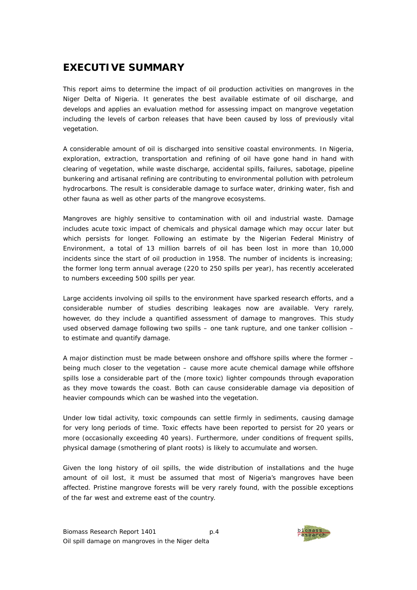# **EXECUTIVE SUMMARY**

This report aims to determine the impact of oil production activities on mangroves in the Niger Delta of Nigeria. It generates the best available estimate of oil discharge, and develops and applies an evaluation method for assessing impact on mangrove vegetation including the levels of carbon releases that have been caused by loss of previously vital vegetation.

A considerable amount of oil is discharged into sensitive coastal environments. In Nigeria, exploration, extraction, transportation and refining of oil have gone hand in hand with clearing of vegetation, while waste discharge, accidental spills, failures, sabotage, pipeline bunkering and artisanal refining are contributing to environmental pollution with petroleum hydrocarbons. The result is considerable damage to surface water, drinking water, fish and other fauna as well as other parts of the mangrove ecosystems.

Mangroves are highly sensitive to contamination with oil and industrial waste. Damage includes acute toxic impact of chemicals and physical damage which may occur later but which persists for longer. Following an estimate by the Nigerian Federal Ministry of Environment, a total of 13 million barrels of oil has been lost in more than 10,000 incidents since the start of oil production in 1958. The number of incidents is increasing; the former long term annual average (220 to 250 spills per year), has recently accelerated to numbers exceeding 500 spills per year.

Large accidents involving oil spills to the environment have sparked research efforts, and a considerable number of studies describing leakages now are available. Very rarely, however, do they include a quantified assessment of damage to mangroves. This study used observed damage following two spills – one tank rupture, and one tanker collision – to estimate and quantify damage.

A major distinction must be made between onshore and offshore spills where the former – being much closer to the vegetation – cause more acute chemical damage while offshore spills lose a considerable part of the (more toxic) lighter compounds through evaporation as they move towards the coast. Both can cause considerable damage via deposition of heavier compounds which can be washed into the vegetation.

Under low tidal activity, toxic compounds can settle firmly in sediments, causing damage for very long periods of time. Toxic effects have been reported to persist for 20 years or more (occasionally exceeding 40 years). Furthermore, under conditions of frequent spills, physical damage (smothering of plant roots) is likely to accumulate and worsen.

Given the long history of oil spills, the wide distribution of installations and the huge amount of oil lost, it must be assumed that most of Nigeria's mangroves have been affected. Pristine mangrove forests will be very rarely found, with the possible exceptions of the far west and extreme east of the country.

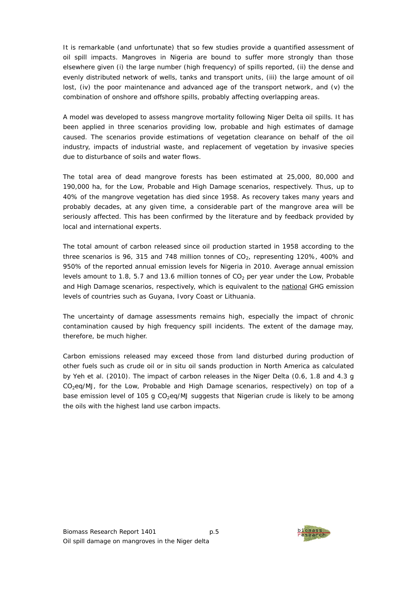It is remarkable (and unfortunate) that so few studies provide a quantified assessment of oil spill impacts. Mangroves in Nigeria are bound to suffer more strongly than those elsewhere given (i) the large number (high frequency) of spills reported, (ii) the dense and evenly distributed network of wells, tanks and transport units, (iii) the large amount of oil lost, (iv) the poor maintenance and advanced age of the transport network, and (v) the combination of onshore and offshore spills, probably affecting overlapping areas.

A model was developed to assess mangrove mortality following Niger Delta oil spills. It has been applied in three scenarios providing low, probable and high estimates of damage caused. The scenarios provide estimations of vegetation clearance on behalf of the oil industry, impacts of industrial waste, and replacement of vegetation by invasive species due to disturbance of soils and water flows.

The total area of dead mangrove forests has been estimated at 25,000, 80,000 and 190,000 ha, for the Low, Probable and High Damage scenarios, respectively. Thus, up to 40% of the mangrove vegetation has died since 1958. As recovery takes many years and probably decades, at any given time, a considerable part of the mangrove area will be seriously affected. This has been confirmed by the literature and by feedback provided by local and international experts.

The total amount of carbon released since oil production started in 1958 according to the three scenarios is 96, 315 and 748 million tonnes of  $CO<sub>2</sub>$ , representing 120%, 400% and 950% of the reported annual emission levels for Nigeria in 2010. Average annual emission levels amount to 1.8, 5.7 and 13.6 million tonnes of  $CO<sub>2</sub>$  per year under the Low, Probable and High Damage scenarios, respectively, which is equivalent to the national GHG emission levels of countries such as Guyana, Ivory Coast or Lithuania.

The uncertainty of damage assessments remains high, especially the impact of chronic contamination caused by high frequency spill incidents. The extent of the damage may, therefore, be much higher.

Carbon emissions released may exceed those from land disturbed during production of other fuels such as crude oil or *in situ* oil sands production in North America as calculated by Yeh *et al.* (2010). The impact of carbon releases in the Niger Delta (0.6, 1.8 and 4.3 g CO<sub>2</sub>eq/MJ, for the Low, Probable and High Damage scenarios, respectively) on top of a base emission level of 105 g CO<sub>2</sub>eg/MJ suggests that Nigerian crude is likely to be among the oils with the highest land use carbon impacts.

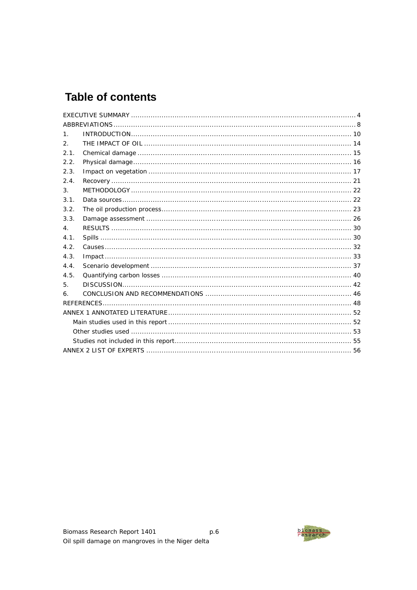# **Table of contents**

| 1 <sub>1</sub>   |  |
|------------------|--|
| 2.               |  |
| 2.1.             |  |
| 2.2.             |  |
| 2.3.             |  |
| 2.4.             |  |
| 3.               |  |
| 3.1.             |  |
| 3.2.             |  |
| 3.3.             |  |
| $\overline{4}$ . |  |
| 4.1.             |  |
| 4.2.             |  |
| 4.3.             |  |
| 4.4.             |  |
| 4.5.             |  |
| 5.               |  |
| 6.               |  |
|                  |  |
|                  |  |
|                  |  |
|                  |  |
|                  |  |
|                  |  |

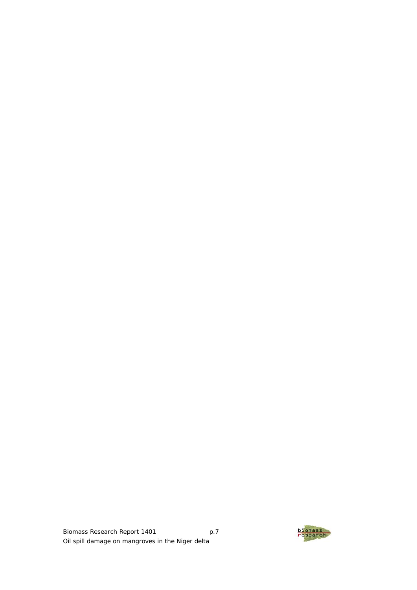Biomass Research Report 1401 **b.7** p.7 Oil spill damage on mangroves in the Niger delta

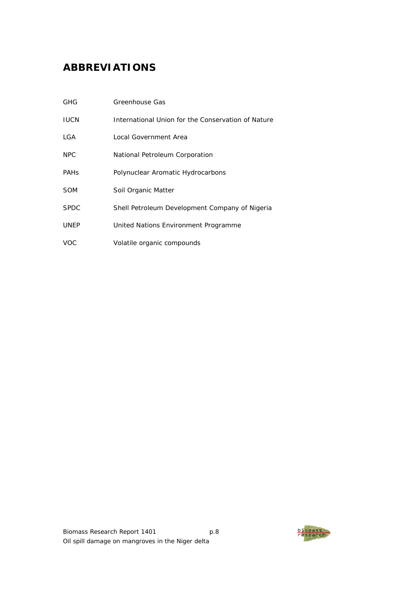# **ABBREVIATIONS**

| GHG         | Greenhouse Gas                                     |
|-------------|----------------------------------------------------|
| <b>IUCN</b> | International Union for the Conservation of Nature |
| LGA         | Local Government Area                              |
| NPC         | National Petroleum Corporation                     |
| PAHs        | Polynuclear Aromatic Hydrocarbons                  |
| SOM         | Soil Organic Matter                                |
| SPDC        | Shell Petroleum Development Company of Nigeria     |
| UNEP        | United Nations Environment Programme               |
| VOC         | Volatile organic compounds                         |

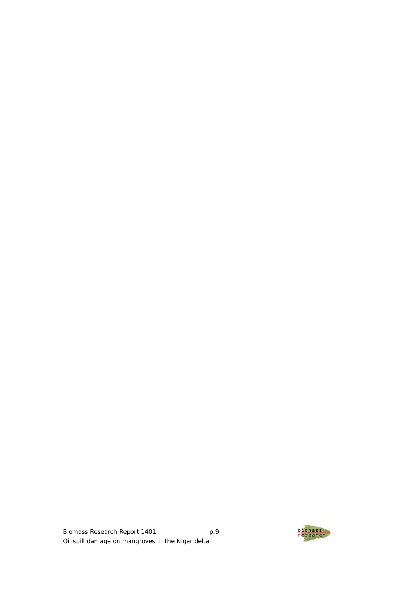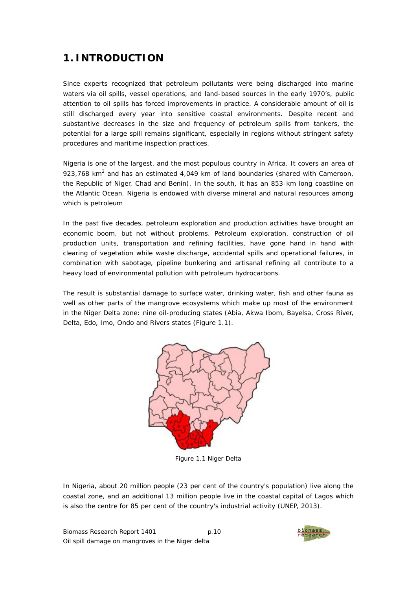### **1. INTRODUCTION**

Since experts recognized that petroleum pollutants were being discharged into marine waters via oil spills, vessel operations, and land-based sources in the early 1970's, public attention to oil spills has forced improvements in practice. A considerable amount of oil is still discharged every year into sensitive coastal environments. Despite recent and substantive decreases in the size and frequency of petroleum spills from tankers, the potential for a large spill remains significant, especially in regions without stringent safety procedures and maritime inspection practices.

Nigeria is one of the largest, and the most populous country in Africa. It covers an area of 923,768 km<sup>2</sup> and has an estimated 4,049 km of land boundaries (shared with Cameroon, the Republic of Niger, Chad and Benin). In the south, it has an 853-km long coastline on the Atlantic Ocean. Nigeria is endowed with diverse mineral and natural resources among which is petroleum

In the past five decades, petroleum exploration and production activities have brought an economic boom, but not without problems. Petroleum exploration, construction of oil production units, transportation and refining facilities, have gone hand in hand with clearing of vegetation while waste discharge, accidental spills and operational failures, in combination with sabotage, pipeline bunkering and artisanal refining all contribute to a heavy load of environmental pollution with petroleum hydrocarbons.

The result is substantial damage to surface water, drinking water, fish and other fauna as well as other parts of the mangrove ecosystems which make up most of the environment in the Niger Delta zone: nine oil-producing states (Abia, Akwa Ibom, Bayelsa, Cross River, Delta, Edo, Imo, Ondo and Rivers states (Figure 1.1).



Figure 1.1 Niger Delta

In Nigeria, about 20 million people (23 per cent of the country's population) live along the coastal zone, and an additional 13 million people live in the coastal capital of Lagos which is also the centre for 85 per cent of the country's industrial activity (UNEP, 2013).

Biomass Research Report 1401 b.10 Oil spill damage on mangroves in the Niger delta

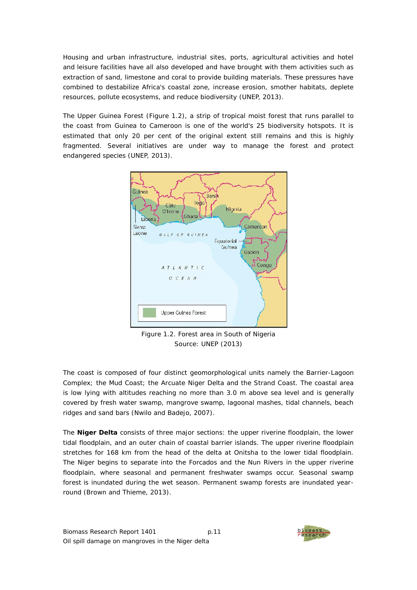Housing and urban infrastructure, industrial sites, ports, agricultural activities and hotel and leisure facilities have all also developed and have brought with them activities such as extraction of sand, limestone and coral to provide building materials. These pressures have combined to destabilize Africa's coastal zone, increase erosion, smother habitats, deplete resources, pollute ecosystems, and reduce biodiversity (UNEP, 2013).

The Upper Guinea Forest (Figure 1.2), a strip of tropical moist forest that runs parallel to the coast from Guinea to Cameroon is one of the world's 25 biodiversity hotspots. It is estimated that only 20 per cent of the original extent still remains and this is highly fragmented. Several initiatives are under way to manage the forest and protect endangered species (UNEP, 2013).



Figure 1.2. Forest area in South of Nigeria *Source: UNEP (2013)*

The coast is composed of four distinct geomorphological units namely the Barrier-Lagoon Complex; the Mud Coast; the Arcuate Niger Delta and the Strand Coast. The coastal area is low lying with altitudes reaching no more than 3.0 m above sea level and is generally covered by fresh water swamp, mangrove swamp, lagoonal mashes, tidal channels, beach ridges and sand bars (Nwilo and Badejo, 2007).

The **Niger Delta** consists of three major sections: the upper riverine floodplain, the lower tidal floodplain, and an outer chain of coastal barrier islands. The upper riverine floodplain stretches for 168 km from the head of the delta at Onitsha to the lower tidal floodplain. The Niger begins to separate into the Forcados and the Nun Rivers in the upper riverine floodplain, where seasonal and permanent freshwater swamps occur. Seasonal swamp forest is inundated during the wet season. Permanent swamp forests are inundated yearround (Brown and Thieme, 2013).

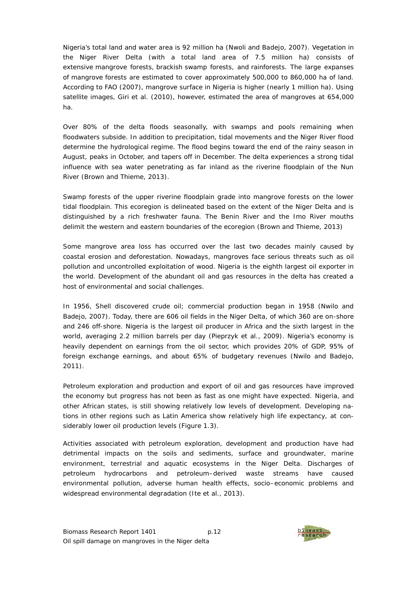Nigeria's total land and water area is 92 million ha (Nwoli and Badejo, 2007). Vegetation in the Niger River Delta (with a total land area of 7.5 million ha) consists of extensive mangrove forests, brackish swamp forests, and rainforests. The large expanses of mangrove forests are estimated to cover approximately 500,000 to 860,000 ha of land. According to FAO (2007), mangrove surface in Nigeria is higher (nearly 1 million ha). Using satellite images, Giri et al. (2010), however, estimated the area of mangroves at 654,000 ha.

Over 80% of the delta floods seasonally, with swamps and pools remaining when floodwaters subside. In addition to precipitation, tidal movements and the Niger River flood determine the hydrological regime. The flood begins toward the end of the rainy season in August, peaks in October, and tapers off in December. The delta experiences a strong tidal influence with sea water penetrating as far inland as the riverine floodplain of the Nun River (Brown and Thieme, 2013).

Swamp forests of the upper riverine floodplain grade into mangrove forests on the lower tidal floodplain. This ecoregion is delineated based on the extent of the Niger Delta and is distinguished by a rich freshwater fauna. The Benin River and the Imo River mouths delimit the western and eastern boundaries of the ecoregion (Brown and Thieme, 2013)

Some mangrove area loss has occurred over the last two decades mainly caused by coastal erosion and deforestation. Nowadays, mangroves face serious threats such as oil pollution and uncontrolled exploitation of wood. Nigeria is the eighth largest oil exporter in the world. Development of the abundant oil and gas resources in the delta has created a host of environmental and social challenges.

In 1956, Shell discovered crude oil; commercial production began in 1958 (Nwilo and Badejo, 2007). Today, there are 606 oil fields in the Niger Delta, of which 360 are on-shore and 246 off-shore. Nigeria is the largest oil producer in Africa and the sixth largest in the world, averaging 2.2 million barrels per day (Pieprzyk *et al.*, 2009). Nigeria's economy is heavily dependent on earnings from the oil sector, which provides 20% of GDP, 95% of foreign exchange earnings, and about 65% of budgetary revenues (Nwilo and Badejo, 2011).

Petroleum exploration and production and export of oil and gas resources have improved the economy but progress has not been as fast as one might have expected. Nigeria, and other African states, is still showing relatively low levels of development. Developing nations in other regions such as Latin America show relatively high life expectancy, at considerably lower oil production levels (Figure 1.3).

Activities associated with petroleum exploration, development and production have had detrimental impacts on the soils and sediments, surface and groundwater, marine environment, terrestrial and aquatic ecosystems in the Niger Delta. Discharges of petroleum hydrocarbons and petroleum–derived waste streams have caused environmental pollution, adverse human health effects, socio–economic problems and widespread environmental degradation (Ite *et al*., 2013).

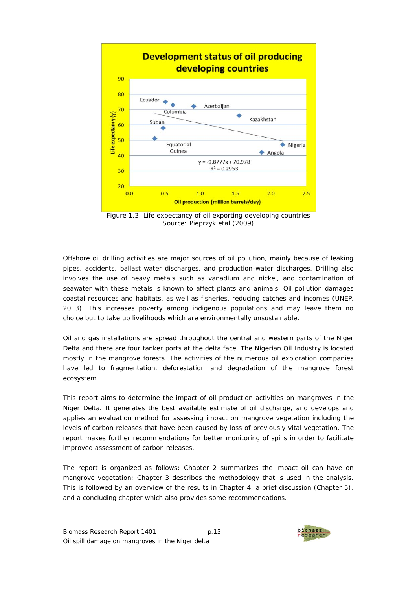

Figure 1.3. Life expectancy of oil exporting developing countries Source: Pieprzyk etal (2009)

Offshore oil drilling activities are major sources of oil pollution, mainly because of leaking pipes, accidents, ballast water discharges, and production-water discharges. Drilling also involves the use of heavy metals such as vanadium and nickel, and contamination of seawater with these metals is known to affect plants and animals. Oil pollution damages coastal resources and habitats, as well as fisheries, reducing catches and incomes (UNEP, 2013). This increases poverty among indigenous populations and may leave them no choice but to take up livelihoods which are environmentally unsustainable.

Oil and gas installations are spread throughout the central and western parts of the Niger Delta and there are four tanker ports at the delta face. The Nigerian Oil Industry is located mostly in the mangrove forests. The activities of the numerous oil exploration companies have led to fragmentation, deforestation and degradation of the mangrove forest ecosystem.

This report aims to determine the impact of oil production activities on mangroves in the Niger Delta. It generates the best available estimate of oil discharge, and develops and applies an evaluation method for assessing impact on mangrove vegetation including the levels of carbon releases that have been caused by loss of previously vital vegetation. The report makes further recommendations for better monitoring of spills in order to facilitate improved assessment of carbon releases.

The report is organized as follows: Chapter 2 summarizes the impact oil can have on mangrove vegetation; Chapter 3 describes the methodology that is used in the analysis. This is followed by an overview of the results in Chapter 4, a brief discussion (Chapter 5), and a concluding chapter which also provides some recommendations.

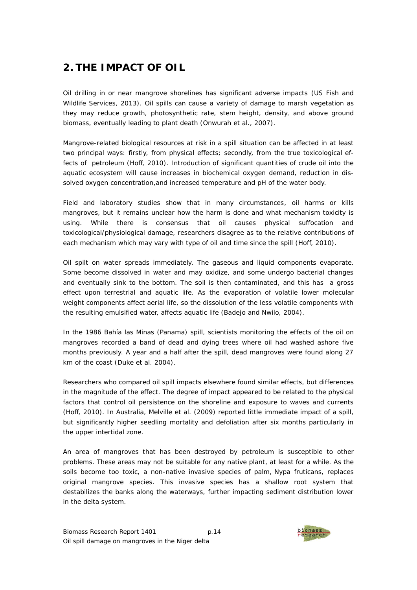# **2. THE IMPACT OF OIL**

Oil drilling in or near mangrove shorelines has significant adverse impacts (US Fish and Wildlife Services, 2013). Oil spills can cause a variety of damage to marsh vegetation as they may reduce growth, photosynthetic rate, stem height, density, and above ground biomass, eventually leading to plant death (Onwurah *et al.*, 2007).

Mangrove-related biological resources at risk in a spill situation can be affected in at least two principal ways: firstly, from physical effects; secondly, from the true toxicological effects of petroleum (Hoff, 2010). Introduction of significant quantities of crude oil into the aquatic ecosystem will cause increases in biochemical oxygen demand, reduction in dissolved oxygen concentration,and increased temperature and pH of the water body.

Field and laboratory studies show that in many circumstances, oil harms or kills mangroves, but it remains unclear how the harm is done and what mechanism toxicity is using. While there is consensus that oil causes physical suffocation and toxicological/physiological damage, researchers disagree as to the relative contributions of each mechanism which may vary with type of oil and time since the spill (Hoff, 2010).

Oil spilt on water spreads immediately. The gaseous and liquid components evaporate. Some become dissolved in water and may oxidize, and some undergo bacterial changes and eventually sink to the bottom. The soil is then contaminated, and this has a gross effect upon terrestrial and aquatic life. As the evaporation of volatile lower molecular weight components affect aerial life, so the dissolution of the less volatile components with the resulting emulsified water, affects aquatic life (Badejo and Nwilo, 2004).

In the 1986 Bahía las Minas (Panama) spill, scientists monitoring the effects of the oil on mangroves recorded a band of dead and dying trees where oil had washed ashore five months previously. A year and a half after the spill, dead mangroves were found along 27 km of the coast (Duke et al. 2004).

Researchers who compared oil spill impacts elsewhere found similar effects, but differences in the magnitude of the effect. The degree of impact appeared to be related to the physical factors that control oil persistence on the shoreline and exposure to waves and currents (Hoff, 2010). In Australia, Melville *et al.* (2009) reported little immediate impact of a spill, but significantly higher seedling mortality and defoliation after six months particularly in the upper intertidal zone.

An area of mangroves that has been destroyed by petroleum is susceptible to other problems. These areas may not be suitable for any native plant, at least for a while. As the soils become too toxic, a non-native invasive species of palm, *Nypa fruticans*, replaces original mangrove species. This invasive species has a shallow root system that destabilizes the banks along the waterways, further impacting sediment distribution lower in the delta system.

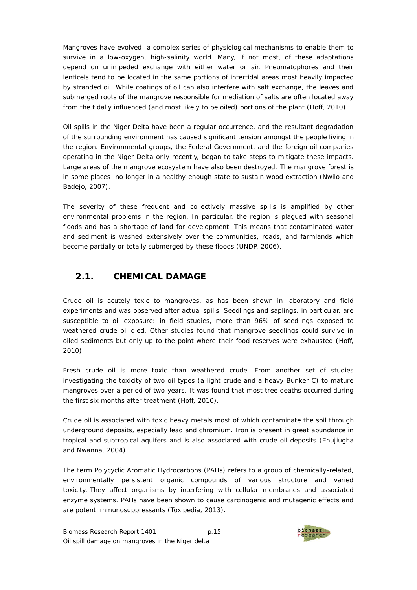Mangroves have evolved a complex series of physiological mechanisms to enable them to survive in a low-oxygen, high-salinity world. Many, if not most, of these adaptations depend on unimpeded exchange with either water or air. Pneumatophores and their lenticels tend to be located in the same portions of intertidal areas most heavily impacted by stranded oil. While coatings of oil can also interfere with salt exchange, the leaves and submerged roots of the mangrove responsible for mediation of salts are often located away from the tidally influenced (and most likely to be oiled) portions of the plant (Hoff, 2010).

Oil spills in the Niger Delta have been a regular occurrence, and the resultant degradation of the surrounding environment has caused significant tension amongst the people living in the region. Environmental groups, the Federal Government, and the foreign oil companies operating in the Niger Delta only recently, began to take steps to mitigate these impacts. Large areas of the mangrove ecosystem have also been destroyed. The mangrove forest is in some places no longer in a healthy enough state to sustain wood extraction (Nwilo and Badejo, 2007).

The severity of these frequent and collectively massive spills is amplified by other environmental problems in the region. In particular, the region is plagued with seasonal floods and has a shortage of land for development. This means that contaminated water and sediment is washed extensively over the communities, roads, and farmlands which become partially or totally submerged by these floods (UNDP, 2006).

#### **2.1. CHEMICAL DAMAGE**

Crude oil is acutely toxic to mangroves, as has been shown in laboratory and field experiments and was observed after actual spills. Seedlings and saplings, in particular, are susceptible to oil exposure: in field studies, more than 96% of seedlings exposed to weathered crude oil died. Other studies found that mangrove seedlings could survive in oiled sediments but only up to the point where their food reserves were exhausted (Hoff, 2010).

Fresh crude oil is more toxic than weathered crude. From another set of studies investigating the toxicity of two oil types (a light crude and a heavy Bunker C) to mature mangroves over a period of two years. It was found that most tree deaths occurred during the first six months after treatment (Hoff, 2010).

Crude oil is associated with toxic heavy metals most of which contaminate the soil through underground deposits, especially lead and chromium. Iron is present in great abundance in tropical and subtropical aquifers and is also associated with crude oil deposits (Enujiugha and Nwanna, 2004).

The term Polycyclic Aromatic Hydrocarbons (PAHs) refers to a group of chemically-related, environmentally persistent organic compounds of various structure and varied toxicity. They affect organisms by interfering with cellular membranes and associated enzyme systems. PAHs have been shown to cause carcinogenic and mutagenic effects and are potent immunosuppressants (Toxipedia, 2013).

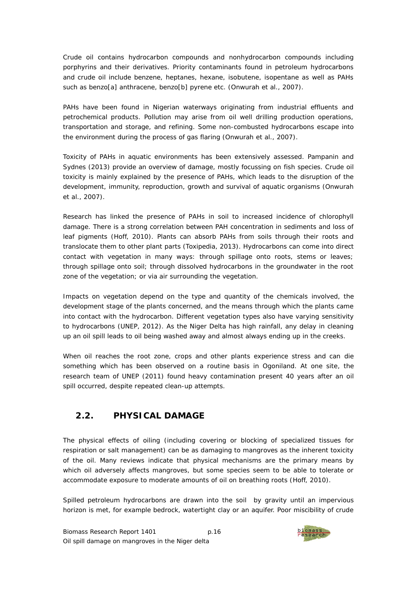Crude oil contains hydrocarbon compounds and nonhydrocarbon compounds including porphyrins and their derivatives. Priority contaminants found in petroleum hydrocarbons and crude oil include benzene, heptanes, hexane, isobutene, isopentane as well as PAHs such as benzo[a] anthracene, benzo[b] pyrene etc. (Onwurah *et al.*, 2007).

PAHs have been found in Nigerian waterways originating from industrial effluents and petrochemical products. Pollution may arise from oil well drilling production operations, transportation and storage, and refining. Some non-combusted hydrocarbons escape into the environment during the process of gas flaring (Onwurah *et al.*, 2007).

Toxicity of PAHs in aquatic environments has been extensively assessed. Pampanin and Sydnes (2013) provide an overview of damage, mostly focussing on fish species. Crude oil toxicity is mainly explained by the presence of PAHs, which leads to the disruption of the development, immunity, reproduction, growth and survival of aquatic organisms (Onwurah *et al.*, 2007).

Research has linked the presence of PAHs in soil to increased incidence of chlorophyll damage. There is a strong correlation between PAH concentration in sediments and loss of leaf pigments (Hoff, 2010). Plants can absorb PAHs from soils through their roots and translocate them to other plant parts (Toxipedia, 2013). Hydrocarbons can come into direct contact with vegetation in many ways: through spillage onto roots, stems or leaves; through spillage onto soil; through dissolved hydrocarbons in the groundwater in the root zone of the vegetation; or via air surrounding the vegetation.

Impacts on vegetation depend on the type and quantity of the chemicals involved, the development stage of the plants concerned, and the means through which the plants came into contact with the hydrocarbon. Different vegetation types also have varying sensitivity to hydrocarbons (UNEP, 2012). As the Niger Delta has high rainfall, any delay in cleaning up an oil spill leads to oil being washed away and almost always ending up in the creeks.

When oil reaches the root zone, crops and other plants experience stress and can die something which has been observed on a routine basis in Ogoniland. At one site, the research team of UNEP (2011) found heavy contamination present 40 years after an oil spill occurred, despite repeated clean-up attempts.

#### **2.2. PHYSICAL DAMAGE**

The physical effects of oiling (including covering or blocking of specialized tissues for respiration or salt management) can be as damaging to mangroves as the inherent toxicity of the oil. Many reviews indicate that physical mechanisms are the primary means by which oil adversely affects mangroves, but some species seem to be able to tolerate or accommodate exposure to moderate amounts of oil on breathing roots (Hoff, 2010).

Spilled petroleum hydrocarbons are drawn into the soil by gravity until an impervious horizon is met, for example bedrock, watertight clay or an aquifer. Poor miscibility of crude

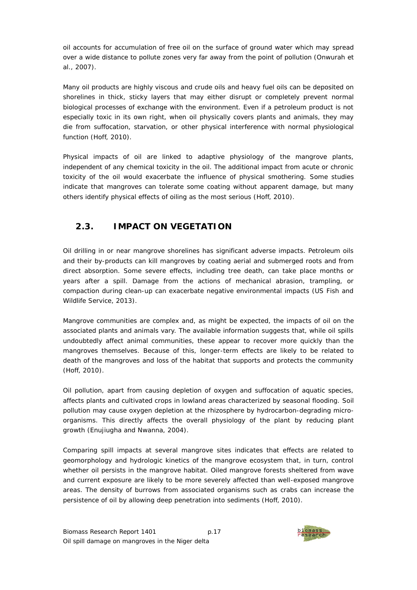oil accounts for accumulation of free oil on the surface of ground water which may spread over a wide distance to pollute zones very far away from the point of pollution (Onwurah *et al.*, 2007).

Many oil products are highly viscous and crude oils and heavy fuel oils can be deposited on shorelines in thick, sticky layers that may either disrupt or completely prevent normal biological processes of exchange with the environment. Even if a petroleum product is not especially toxic in its own right, when oil physically covers plants and animals, they may die from suffocation, starvation, or other physical interference with normal physiological function (Hoff, 2010).

Physical impacts of oil are linked to adaptive physiology of the mangrove plants, independent of any chemical toxicity in the oil. The additional impact from acute or chronic toxicity of the oil would exacerbate the influence of physical smothering. Some studies indicate that mangroves can tolerate some coating without apparent damage, but many others identify physical effects of oiling as the most serious (Hoff, 2010).

#### **2.3. IMPACT ON VEGETATION**

Oil drilling in or near mangrove shorelines has significant adverse impacts. Petroleum oils and their by-products can kill mangroves by coating aerial and submerged roots and from direct absorption. Some severe effects, including tree death, can take place months or years after a spill. Damage from the actions of mechanical abrasion, trampling, or compaction during clean-up can exacerbate negative environmental impacts (US Fish and Wildlife Service, 2013).

Mangrove communities are complex and, as might be expected, the impacts of oil on the associated plants and animals vary. The available information suggests that, while oil spills undoubtedly affect animal communities, these appear to recover more quickly than the mangroves themselves. Because of this, longer-term effects are likely to be related to death of the mangroves and loss of the habitat that supports and protects the community (Hoff, 2010).

Oil pollution, apart from causing depletion of oxygen and suffocation of aquatic species, affects plants and cultivated crops in lowland areas characterized by seasonal flooding. Soil pollution may cause oxygen depletion at the rhizosphere by hydrocarbon-degrading micro organisms. This directly affects the overall physiology of the plant by reducing plant growth (Enujiugha and Nwanna, 2004).

Comparing spill impacts at several mangrove sites indicates that effects are related to geomorphology and hydrologic kinetics of the mangrove ecosystem that, in turn, control whether oil persists in the mangrove habitat. Oiled mangrove forests sheltered from wave and current exposure are likely to be more severely affected than well-exposed mangrove areas. The density of burrows from associated organisms such as crabs can increase the persistence of oil by allowing deep penetration into sediments (Hoff, 2010).

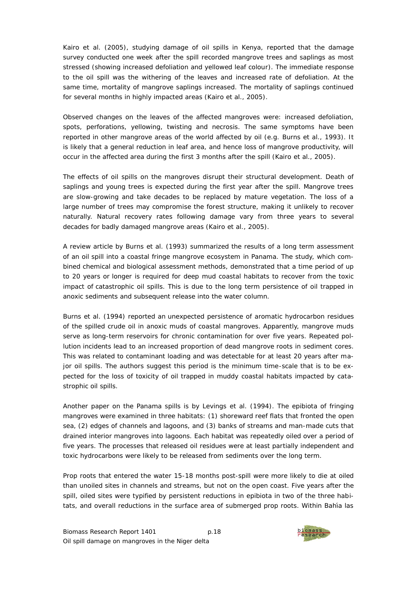Kairo *et al.* (2005), studying damage of oil spills in Kenya, reported that the damage survey conducted one week after the spill recorded mangrove trees and saplings as most stressed (showing increased defoliation and yellowed leaf colour). The immediate response to the oil spill was the withering of the leaves and increased rate of defoliation. At the same time, mortality of mangrove saplings increased. The mortality of saplings continued for several months in highly impacted areas (Kairo *et al.*, 2005).

Observed changes on the leaves of the affected mangroves were: increased defoliation, spots, perforations, yellowing, twisting and necrosis. The same symptoms have been reported in other mangrove areas of the world affected by oil (e.g. Burns *et al.*, 1993). It is likely that a general reduction in leaf area, and hence loss of mangrove productivity, will occur in the affected area during the first 3 months after the spill (Kairo *et al.*, 2005).

The effects of oil spills on the mangroves disrupt their structural development. Death of saplings and young trees is expected during the first year after the spill. Mangrove trees are slow-growing and take decades to be replaced by mature vegetation. The loss of a large number of trees may compromise the forest structure, making it unlikely to recover naturally. Natural recovery rates following damage vary from three years to several decades for badly damaged mangrove areas (Kairo *et al.*, 2005).

A review article by Burns *et al.* (1993) summarized the results of a long term assessment of an oil spill into a coastal fringe mangrove ecosystem in Panama. The study, which combined chemical and biological assessment methods, demonstrated that a time period of up to 20 years or longer is required for deep mud coastal habitats to recover from the toxic impact of catastrophic oil spills. This is due to the long term persistence of oil trapped in anoxic sediments and subsequent release into the water column.

Burns *et al.* (1994) reported an unexpected persistence of aromatic hydrocarbon residues of the spilled crude oil in anoxic muds of coastal mangroves. Apparently, mangrove muds serve as long-term reservoirs for chronic contamination for over five years. Repeated pollution incidents lead to an increased proportion of dead mangrove roots in sediment cores. This was related to contaminant loading and was detectable for at least 20 years after major oil spills. The authors suggest this period is the minimum time-scale that is to be expected for the loss of toxicity of oil trapped in muddy coastal habitats impacted by catastrophic oil spills.

Another paper on the Panama spills is by Levings *et al.* (1994). The epibiota of fringing mangroves were examined in three habitats: (1) shoreward reef flats that fronted the open sea, (2) edges of channels and lagoons, and (3) banks of streams and man-made cuts that drained interior mangroves into lagoons. Each habitat was repeatedly oiled over a period of five years. The processes that released oil residues were at least partially independent and toxic hydrocarbons were likely to be released from sediments over the long term.

Prop roots that entered the water 15-18 months post-spill were more likely to die at oiled than unoiled sites in channels and streams, but not on the open coast. Five years after the spill, oiled sites were typified by persistent reductions in epibiota in two of the three habitats, and overall reductions in the surface area of submerged prop roots. Within Bahia las

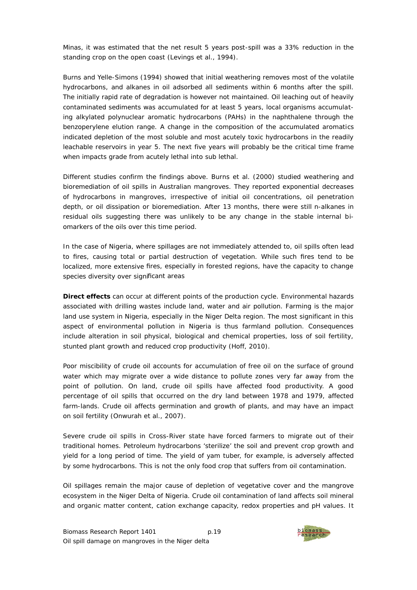Minas, it was estimated that the net result 5 years post-spill was a 33% reduction in the standing crop on the open coast (Levings *et al.*, 1994).

Burns and Yelle-Simons (1994) showed that initial weathering removes most of the volatile hydrocarbons, and alkanes in oil adsorbed all sediments within 6 months after the spill. The initially rapid rate of degradation is however not maintained. Oil leaching out of heavily contaminated sediments was accumulated for at least 5 years, local organisms accumulating alkylated polynuclear aromatic hydrocarbons (PAHs) in the naphthalene through the benzoperylene elution range. A change in the composition of the accumulated aromatics indicated depletion of the most soluble and most acutely toxic hydrocarbons in the readily leachable reservoirs in year 5. The next five years will probably be the critical time frame when impacts grade from acutely lethal into sub lethal.

Different studies confirm the findings above. Burns *et al.* (2000) studied weathering and bioremediation of oil spills in Australian mangroves. They reported exponential decreases of hydrocarbons in mangroves, irrespective of initial oil concentrations, oil penetration depth, or oil dissipation or bioremediation. After 13 months, there were still *n*-alkanes in residual oils suggesting there was unlikely to be any change in the stable internal biomarkers of the oils over this time period.

In the case of Nigeria, where spillages are not immediately attended to, oil spills often lead to fires, causing total or partial destruction of vegetation. While such fires tend to be localized, more extensive fires, especially in forested regions, have the capacity to change species diversity over significant areas

**Direct effects** can occur at different points of the production cycle. Environmental hazards associated with drilling wastes include land, water and air pollution. Farming is the major land use system in Nigeria, especially in the Niger Delta region. The most significant in this aspect of environmental pollution in Nigeria is thus farmland pollution. Consequences include alteration in soil physical, biological and chemical properties, loss of soil fertility, stunted plant growth and reduced crop productivity (Hoff, 2010).

Poor miscibility of crude oil accounts for accumulation of free oil on the surface of ground water which may migrate over a wide distance to pollute zones very far away from the point of pollution. On land, crude oil spills have affected food productivity. A good percentage of oil spills that occurred on the dry land between 1978 and 1979, affected farm-lands. Crude oil affects germination and growth of plants, and may have an impact on soil fertility (Onwurah *et al.*, 2007).

Severe crude oil spills in Cross-River state have forced farmers to migrate out of their traditional homes. Petroleum hydrocarbons 'sterilize' the soil and prevent crop growth and yield for a long period of time. The yield of yam tuber, for example, is adversely affected by some hydrocarbons. This is not the only food crop that suffers from oil contamination.

Oil spillages remain the major cause of depletion of vegetative cover and the mangrove ecosystem in the Niger Delta of Nigeria. Crude oil contamination of land affects soil mineral and organic matter content, cation exchange capacity, redox properties and pH values. It

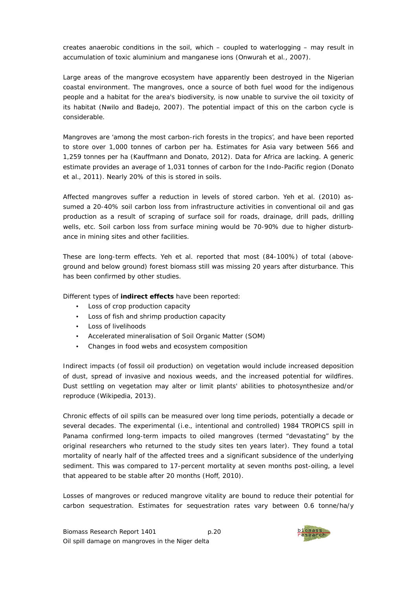creates anaerobic conditions in the soil, which – coupled to waterlogging – may result in accumulation of toxic aluminium and manganese ions (Onwurah *et al.*, 2007).

Large areas of the mangrove ecosystem have apparently been destroyed in the Nigerian coastal environment. The mangroves, once a source of both fuel wood for the indigenous people and a habitat for the area's biodiversity, is now unable to survive the oil toxicity of its habitat (Nwilo and Badejo, 2007). The potential impact of this on the carbon cycle is considerable.

Mangroves are 'among the most carbon-rich forests in the tropics', and have been reported to store over 1,000 tonnes of carbon per ha. Estimates for Asia vary between 566 and 1,259 tonnes per ha (Kauffmann and Donato, 2012). Data for Africa are lacking. A generic estimate provides an average of 1,031 tonnes of carbon for the Indo-Pacific region (Donato *et al*., 2011). Nearly 20% of this is stored in soils.

Affected mangroves suffer a reduction in levels of stored carbon. Yeh *et al.* (2010) assumed a 20-40% soil carbon loss from infrastructure activities in conventional oil and gas production as a result of scraping of surface soil for roads, drainage, drill pads, drilling wells, etc. Soil carbon loss from surface mining would be 70-90% due to higher disturbance in mining sites and other facilities.

These are long-term effects. Yeh *et al.* reported that most (84-100%) of total (aboveground and below ground) forest biomass still was missing 20 years after disturbance. This has been confirmed by other studies.

Different types of **indirect effects** have been reported:

- Loss of crop production capacity
- Loss of fish and shrimp production capacity
- Loss of livelihoods
- Accelerated mineralisation of Soil Organic Matter (SOM)
- Changes in food webs and ecosystem composition

Indirect impacts (of fossil oil production) on vegetation would include increased deposition of dust, spread of invasive and noxious weeds, and the increased potential for wildfires. Dust settling on vegetation may alter or limit plants' abilities to photosynthesize and/or reproduce (Wikipedia, 2013).

Chronic effects of oil spills can be measured over long time periods, potentially a decade or several decades. The experimental (i.e., intentional and controlled) 1984 TROPICS spill in Panama confirmed long-term impacts to oiled mangroves (termed "devastating" by the original researchers who returned to the study sites ten years later). They found a total mortality of nearly half of the affected trees and a significant subsidence of the underlying sediment. This was compared to 17-percent mortality at seven months post-oiling, a level that appeared to be stable after 20 months (Hoff, 2010).

Losses of mangroves or reduced mangrove vitality are bound to reduce their potential for carbon sequestration. Estimates for sequestration rates vary between 0.6 tonne/ha/y

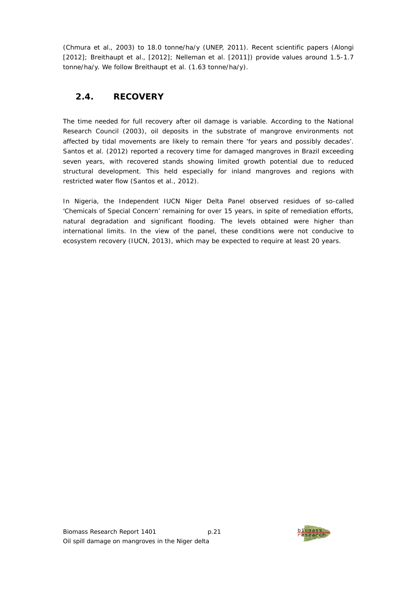(Chmura *et al*., 2003) to 18.0 tonne/ha/y (UNEP, 2011). Recent scientific papers (Alongi [2012]; Breithaupt *et al*., [2012]; Nelleman *et al*. [2011]) provide values around 1.5-1.7 tonne/ha/y. We follow Breithaupt *et al*. (1.63 tonne/ha/y).

#### **2.4. RECOVERY**

The time needed for full recovery after oil damage is variable. According to the National Research Council (2003), oil deposits in the substrate of mangrove environments not affected by tidal movements are likely to remain there '*for years and possibly decades'*. Santos *et al.* (2012) reported a recovery time for damaged mangroves in Brazil exceeding seven years, with recovered stands showing limited growth potential due to reduced structural development. This held especially for inland mangroves and regions with restricted water flow (Santos *et al.*, 2012).

In Nigeria, the Independent IUCN Niger Delta Panel observed residues of so-called 'Chemicals of Special Concern' remaining for over 15 years, in spite of remediation efforts, natural degradation and significant flooding. The levels obtained were higher than international limits. In the view of the panel, these conditions were not conducive to ecosystem recovery (IUCN, 2013), which may be expected to require at least 20 years.

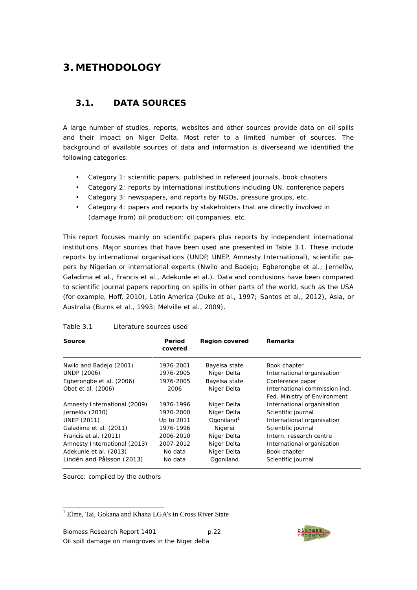### **3. METHODOLOGY**

#### **3.1. DATA SOURCES**

A large number of studies, reports, websites and other sources provide data on oil spills and their impact on Niger Delta. Most refer to a limited number of sources. The background of available sources of data and information is diverseand we identified the following categories:

- Category 1: scientific papers, published in refereed journals, book chapters
- Category 2: reports by international institutions including UN, conference papers
- Category 3: newspapers, and reports by NGOs, pressure groups, etc.
- Category 4: papers and reports by stakeholders that are directly involved in (damage from) oil production: oil companies, etc.

This report focuses mainly on scientific papers plus reports by independent international institutions. Major sources that have been used are presented in Table 3.1. These include reports by international organisations (UNDP, UNEP, Amnesty International), scientific papers by Nigerian or international experts (Nwilo and Badejo; Egberongbe *et al.*; Jernelöv, Galadima *et al.*, Francis *et al.*, Adekunle *et al.*). Data and conclusions have been compared to scientific journal papers reporting on spills in other parts of the world, such as the USA (for example, Hoff, 2010), Latin America (Duke et al., 1997; Santos *et al.*, 2012), Asia, or Australia (Burns *et al.,* 1993; Melville *et al.*, 2009).

| Litterature bources asce     |                   |                |                                |
|------------------------------|-------------------|----------------|--------------------------------|
| Source                       | Period<br>covered | Region covered | Remarks                        |
| Nwilo and Badejo (2001)      | 1976-2001         | Bayelsa state  | Book chapter                   |
| <b>UNDP (2006)</b>           | 1976-2005         | Niger Delta    | International organisation     |
| Egberongbe et al. (2006)     | 1976-2005         | Bayelsa state  | Conference paper               |
| Obot et al. (2006)           | 2006              | Niger Delta    | International commission incl. |
|                              |                   |                | Fed. Ministry of Environment   |
| Amnesty International (2009) | 1976-1996         | Niger Delta    | International organisation     |
| Jernelöv (2010)              | 1970-2000         | Niger Delta    | Scientific journal             |
| <b>UNEP (2011)</b>           | Up to 2011        | Ogoniland $1$  | International organisation     |
| Galadima et al. (2011)       | 1976-1996         | Nigeria        | Scientific journal             |
| Francis et al. (2011)        | 2006-2010         | Niger Delta    | Intern, research centre        |
| Amnesty International (2013) | 2007-2012         | Niger Delta    | International organisation     |
| Adekunle et al. (2013)       | No data           | Niger Delta    | Book chapter                   |
| Lindén and Pålsson (2013)    | No data           | Ogoniland      | Scientific journal             |
|                              |                   |                |                                |

*Table 3.1 Literature sources used*

*Source: compiled by the authors*



<sup>&</sup>lt;sup>1</sup> Elme, Tai, Gokana and Khana LGA's in Cross River State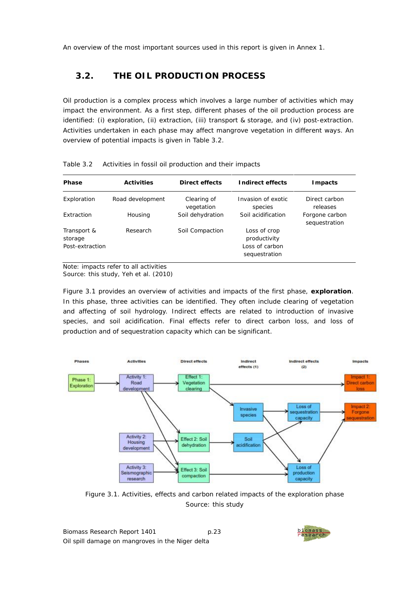An overview of the most important sources used in this report is given in Annex 1.

### **3.2. THE OIL PRODUCTION PROCESS**

Oil production is a complex process which involves a large number of activities which may impact the environment. As a first step, different phases of the oil production process are identified: (i) exploration, (ii) extraction, (iii) transport & storage, and (iv) post-extraction. Activities undertaken in each phase may affect mangrove vegetation in different ways. An overview of potential impacts is given in Table 3.2.

| Activities       | Direct effects            | Indirect effects                                                | l mpacts                        |
|------------------|---------------------------|-----------------------------------------------------------------|---------------------------------|
| Road development | Clearing of<br>vegetation | Invasion of exotic<br>species                                   | Direct carbon<br>releases       |
| Housing          | Soil dehydration          | Soil acidification                                              | Forgone carbon<br>sequestration |
| Research         | Soil Compaction           | Loss of crop<br>productivity<br>Loss of carbon<br>sequestration |                                 |
|                  |                           |                                                                 |                                 |

|  | Table 3.2 Activities in fossil oil production and their impacts |  |
|--|-----------------------------------------------------------------|--|

Note: impacts refer to all activities *Source: this study, Yeh et al. (2010)*

Figure 3.1 provides an overview of activities and impacts of the first phase, **exploration**. In this phase, three activities can be identified. They often include clearing of vegetation and affecting of soil hydrology. Indirect effects are related to introduction of invasive species, and soil acidification. Final effects refer to direct carbon loss, and loss of production and of sequestration capacity which can be significant.



Figure 3.1. Activities, effects and carbon related impacts of the exploration phase Source: this study

Biomass Research Report 1401 p.23 Oil spill damage on mangroves in the Niger delta

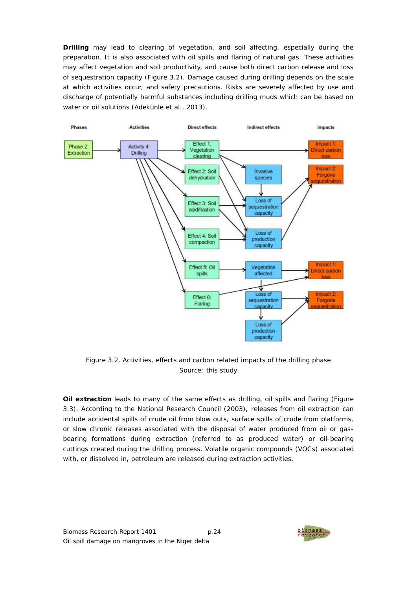**Drilling** may lead to clearing of vegetation, and soil affecting, especially during the preparation. It is also associated with oil spills and flaring of natural gas. These activities may affect vegetation and soil productivity, and cause both direct carbon release and loss of sequestration capacity (Figure 3.2). Damage caused during drilling depends on the scale at which activities occur, and safety precautions. Risks are severely affected by use and discharge of potentially harmful substances including drilling muds which can be based on water or oil solutions (Adekunle *et al.*, 2013).



Figure 3.2. Activities, effects and carbon related impacts of the drilling phase Source: this study

**Oil extraction** leads to many of the same effects as drilling, oil spills and flaring (Figure 3.3). According to the National Research Council (2003), releases from oil extraction can include accidental spills of crude oil from blow outs, surface spills of crude from platforms, or slow chronic releases associated with the disposal of water produced from oil or gas bearing formations during extraction (referred to as *produced water*) or oil-bearing cuttings created during the drilling process. Volatile organic compounds (VOCs) associated with, or dissolved in, petroleum are released during extraction activities.

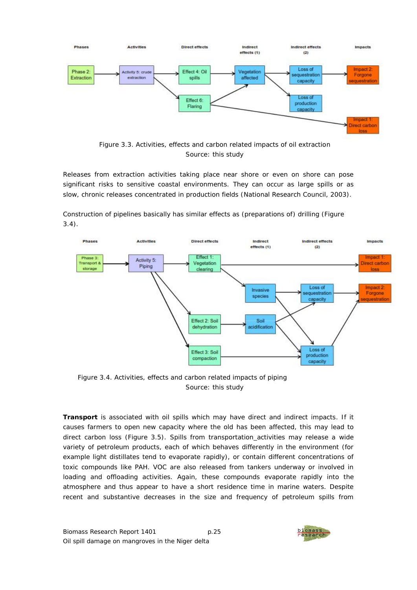

Source: this study

Releases from extraction activities taking place near shore or even on shore can pose significant risks to sensitive coastal environments. They can occur as large spills or as slow, chronic releases concentrated in production fields (National Research Council, 2003).

Construction of pipelines basically has similar effects as (preparations of) drilling (Figure 3.4).



Figure 3.4. Activities, effects and carbon related impacts of piping Source: this study

**Transport** is associated with oil spills which may have direct and indirect impacts. If it causes farmers to open new capacity where the old has been affected, this may lead to direct carbon loss (Figure 3.5). Spills from transportation activities may release a wide variety of petroleum products, each of which behaves differently in the environment (for example light distillates tend to evaporate rapidly), or contain different concentrations of toxic compounds like PAH. VOC are also released from tankers underway or involved in loading and offloading activities. Again, these compounds evaporate rapidly into the atmosphere and thus appear to have a short residence time in marine waters. Despite recent and substantive decreases in the size and frequency of petroleum spills from

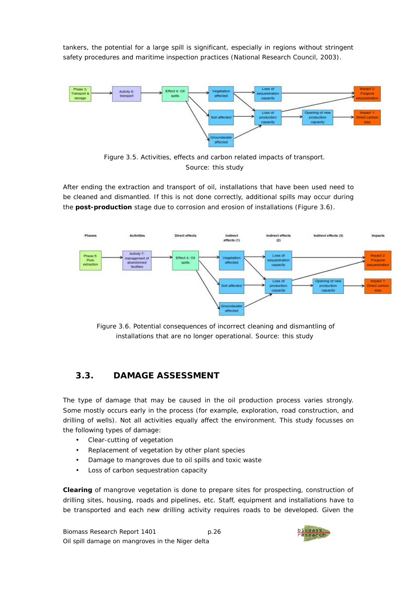tankers, the potential for a large spill is significant, especially in regions without stringent safety procedures and maritime inspection practices (National Research Council, 2003).



Figure 3.5. Activities, effects and carbon related impacts of transport. Source: this study

After ending the extraction and transport of oil, installations that have been used need to be cleaned and dismantled. If this is not done correctly, additional spills may occur during the **post-production** stage due to corrosion and erosion of installations (Figure 3.6).



Figure 3.6. Potential consequences of incorrect cleaning and dismantling of installations that are no longer operational. Source: this study

#### **3.3. DAMAGE ASSESSMENT**

The type of damage that may be caused in the oil production process varies strongly. Some mostly occurs early in the process (for example, exploration, road construction, and drilling of wells). Not all activities equally affect the environment. This study focusses on the following types of damage:

- Clear-cutting of vegetation
- Replacement of vegetation by other plant species
- Damage to mangroves due to oil spills and toxic waste
- Loss of carbon sequestration capacity

**Clearing** of mangrove vegetation is done to prepare sites for prospecting, construction of drilling sites, housing, roads and pipelines, etc. Staff, equipment and installations have to be transported and each new drilling activity requires roads to be developed. Given the

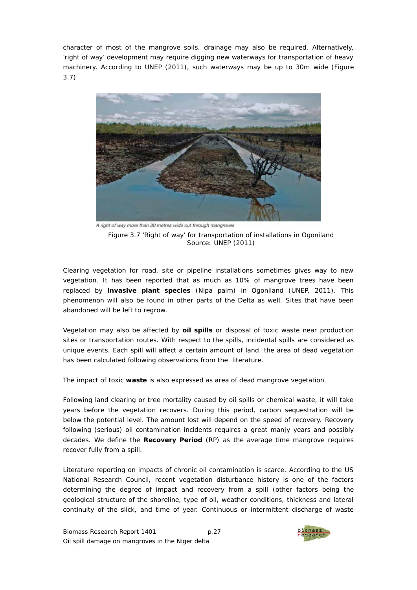character of most of the mangrove soils, drainage may also be required. Alternatively, 'right of way' development may require digging new waterways for transportation of heavy machinery. According to UNEP (2011), such waterways may be up to 30m wide (Figure 3.7)



A right of way more than 30 metres wide cut through mangroves

Figure 3.7 'Right of way' for transportation of installations in Ogoniland Source: UNEP (2011)

Clearing vegetation for road, site or pipeline installations sometimes gives way to new vegetation. It has been reported that as much as 10% of mangrove trees have been replaced by **invasive plant species** (Nipa palm) in Ogoniland (UNEP, 2011). This phenomenon will also be found in other parts of the Delta as well. Sites that have been abandoned will be left to regrow.

Vegetation may also be affected by **oil spills** or disposal of toxic waste near production sites or transportation routes. With respect to the spills, incidental spills are considered as unique events. Each spill will affect a certain amount of land. the area of dead vegetation has been calculated following observations from the literature.

The impact of toxic **waste** is also expressed as area of dead mangrove vegetation.

Following land clearing or tree mortality caused by oil spills or chemical waste, it will take years before the vegetation recovers. During this period, carbon sequestration will be below the potential level. The amount lost will depend on the speed of recovery. Recovery following (serious) oil contamination incidents requires a great manjy years and possibly decades. We define the **Recovery Period** (RP) as the average time mangrove requires recover fully from a spill.

Literature reporting on impacts of chronic oil contamination is scarce. According to the US National Research Council, recent vegetation disturbance history is one of the factors determining the degree of impact and recovery from a spill (other factors being the geological structure of the shoreline, type of oil, weather conditions, thickness and lateral continuity of the slick, and time of year. Continuous or intermittent discharge of waste

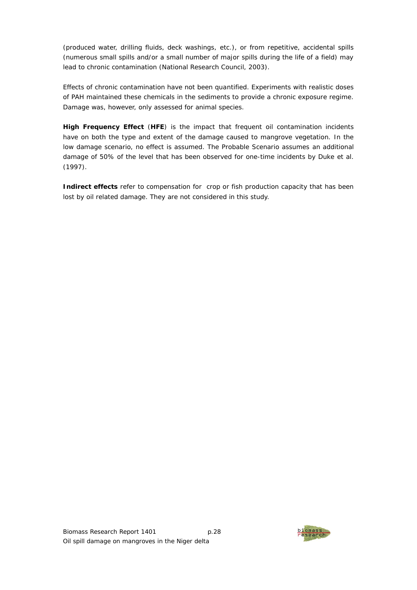(produced water, drilling fluids, deck washings, etc.), or from repetitive, accidental spills (numerous small spills and/or a small number of major spills during the life of a field) may lead to chronic contamination (National Research Council, 2003).

Effects of chronic contamination have not been quantified. Experiments with realistic doses of PAH maintained these chemicals in the sediments to provide a chronic exposure regime. Damage was, however, only assessed for animal species.

**High Frequency Effect** (**HFE**) is the impact that frequent oil contamination incidents have on both the type and extent of the damage caused to mangrove vegetation. In the low damage scenario, no effect is assumed. The Probable Scenario assumes an additional damage of 50% of the level that has been observed for one-time incidents by Duke *et al.* (1997).

**Indirect effects** refer to compensation for crop or fish production capacity that has been lost by oil related damage. They are not considered in this study.

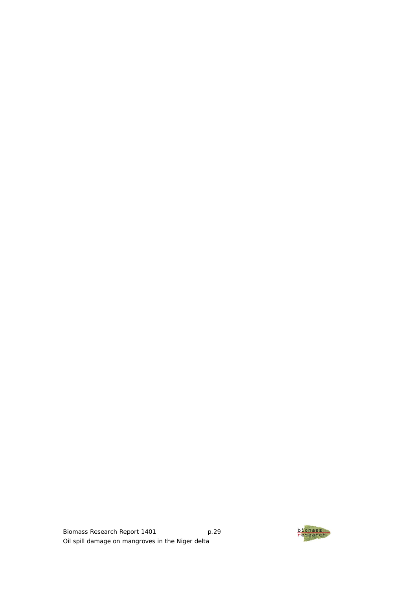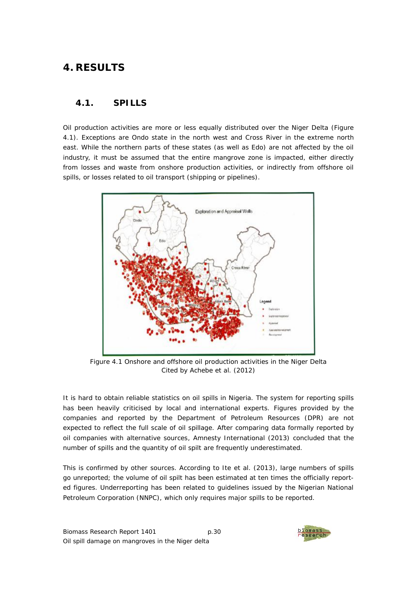### **4. RESULTS**

#### **4.1. SPILLS**

Oil production activities are more or less equally distributed over the Niger Delta (Figure 4.1). Exceptions are Ondo state in the north west and Cross River in the extreme north east. While the northern parts of these states (as well as Edo) are not affected by the oil industry, it must be assumed that the entire mangrove zone is impacted, either directly from losses and waste from onshore production activities, or indirectly from offshore oil spills, or losses related to oil transport (shipping or pipelines).



Figure 4.1 Onshore and offshore oil production activities in the Niger Delta Cited by Achebe *et al.* (2012)

It is hard to obtain reliable statistics on oil spills in Nigeria. The system for reporting spills has been heavily criticised by local and international experts. Figures provided by the companies and reported by the Department of Petroleum Resources (DPR) are not expected to reflect the full scale of oil spillage. After comparing data formally reported by oil companies with alternative sources, Amnesty International (2013) concluded that the number of spills and the quantity of oil spilt are frequently underestimated.

This is confirmed by other sources. According to Ite *et al.* (2013), large numbers of spills go unreported; the volume of oil spilt has been estimated at ten times the officially reported figures. Underreporting has been related to guidelines issued by the Nigerian National Petroleum Corporation (NNPC), which only requires major spills to be reported.

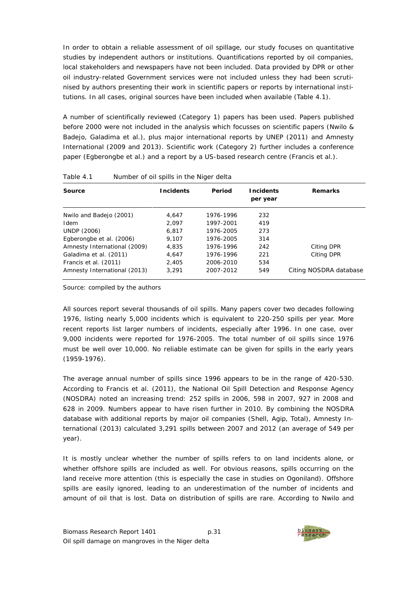In order to obtain a reliable assessment of oil spillage, our study focuses on quantitative studies by independent authors or institutions. Quantifications reported by oil companies, local stakeholders and newspapers have not been included. Data provided by DPR or other oil industry-related Government services were not included unless they had been scrutinised by authors presenting their work in scientific papers or reports by international institutions. In all cases, original sources have been included when available (Table 4.1).

A number of scientifically reviewed (Category 1) papers has been used. Papers published before 2000 were not included in the analysis which focusses on scientific papers (Nwilo & Badejo, Galadima *et al.*), plus major international reports by UNEP (2011) and Amnesty International (2009 and 2013). Scientific work (Category 2) further includes a conference paper (Egberongbe *et al.*) and a report by a US-based research centre (Francis *et al.*).

| Source                       | Incidents | Period    | <b>Incidents</b><br>per year | Remarks                |
|------------------------------|-----------|-----------|------------------------------|------------------------|
| Nwilo and Badejo (2001)      | 4.647     | 1976-1996 | 232                          |                        |
| Idem                         | 2.097     | 1997-2001 | 419                          |                        |
| UNDP (2006)                  | 6.817     | 1976-2005 | 273                          |                        |
| Egberongbe et al. (2006)     | 9.107     | 1976-2005 | 314                          |                        |
| Amnesty International (2009) | 4.835     | 1976-1996 | 242                          | Citing DPR             |
| Galadima et al. (2011)       | 4.647     | 1976-1996 | 221                          | Citing DPR             |
| Francis et al. (2011)        | 2.405     | 2006-2010 | 534                          |                        |
| Amnesty International (2013) | 3.291     | 2007-2012 | 549                          | Citing NOSDRA database |

*Table 4.1 Number of oil spills in the Niger delta*

*Source: compiled by the authors*

All sources report several thousands of oil spills. Many papers cover two decades following 1976, listing nearly 5,000 incidents which is equivalent to 220-250 spills per year. More recent reports list larger numbers of incidents, especially after 1996. In one case, over 9,000 incidents were reported for 1976-2005. The total number of oil spills since 1976 must be well over 10,000. No reliable estimate can be given for spills in the early years (1959-1976).

The average annual number of spills since 1996 appears to be in the range of 420-530. According to Francis *et al.* (2011), the National Oil Spill Detection and Response Agency (NOSDRA) noted an increasing trend: 252 spills in 2006, 598 in 2007, 927 in 2008 and 628 in 2009. Numbers appear to have risen further in 2010. By combining the NOSDRA database with additional reports by major oil companies (Shell, Agip, Total), Amnesty International (2013) calculated 3,291 spills between 2007 and 2012 (an average of 549 per year).

It is mostly unclear whether the number of spills refers to on land incidents alone, or whether offshore spills are included as well. For obvious reasons, spills occurring on the land receive more attention (this is especially the case in studies on Ogoniland). Offshore spills are easily ignored, leading to an underestimation of the number of incidents and amount of oil that is lost. Data on distribution of spills are rare. According to Nwilo and

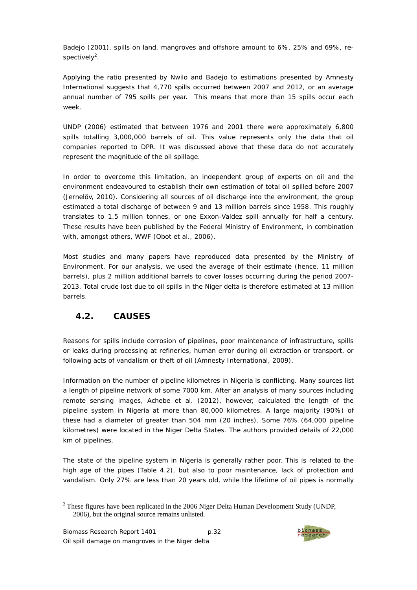Badejo (2001), spills on land, mangroves and offshore amount to 6%, 25% and 69%, respectively $2$ . .

Applying the ratio presented by Nwilo and Badejo to estimations presented by Amnesty International suggests that 4,770 spills occurred between 2007 and 2012, or an average annual number of 795 spills per year. This means that more than 15 spills occur each week.

UNDP (2006) estimated that between 1976 and 2001 there were approximately 6,800 spills totalling 3,000,000 barrels of oil. This value represents only the data that oil companies reported to DPR. It was discussed above that these data do not accurately represent the magnitude of the oil spillage.

In order to overcome this limitation, an independent group of experts on oil and the environment endeavoured to establish their own estimation of total oil spilled before 2007 (Jernelöv, 2010). Considering all sources of oil discharge into the environment, the group estimated a total discharge of between 9 and 13 million barrels since 1958. This roughly translates to 1.5 million tonnes, or one Exxon-Valdez spill annually for half a century. These results have been published by the Federal Ministry of Environment, in combination with, amongst others, WWF (Obot *et al.*, 2006).

Most studies and many papers have reproduced data presented by the Ministry of Environment. For our analysis, we used the average of their estimate (hence, 11 million barrels), plus 2 million additional barrels to cover losses occurring during the period 2007- 2013. Total crude lost due to oil spills in the Niger delta is therefore estimated at 13 million barrels.

#### **4.2. CAUSES**

Reasons for spills include corrosion of pipelines, poor maintenance of infrastructure, spills or leaks during processing at refineries, human error during oil extraction or transport, or following acts of vandalism or theft of oil (Amnesty International, 2009).

Information on the number of pipeline kilometres in Nigeria is conflicting. Many sources list a length of pipeline network of some 7000 km. After an analysis of many sources including remote sensing images, Achebe *et al.* (2012), however, calculated the length of the pipeline system in Nigeria at more than 80,000 kilometres. A large majority (90%) of these had a diameter of greater than 504 mm (20 inches). Some 76% (64,000 pipeline kilometres) were located in the Niger Delta States. The authors provided details of 22,000 km of pipelines.

The state of the pipeline system in Nigeria is generally rather poor. This is related to the high age of the pipes (Table 4.2), but also to poor maintenance, lack of protection and vandalism. Only 27% are less than 20 years old, while the lifetime of oil pipes is normally



 $2$  These figures have been replicated in the 2006 Niger Delta Human Development Study (UNDP, 2006), but the original source remains unlisted.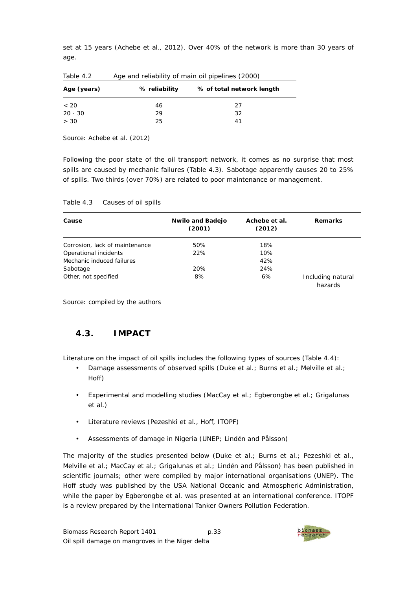set at 15 years (Achebe *et al*., 2012). Over 40% of the network is more than 30 years of age.

| Age (years) | % reliability | % of total network length |
|-------------|---------------|---------------------------|
| $~<$ 20     | 46            | 27                        |
| 20 - 30     | 29            | 32                        |
| > 30        | 25            | 41                        |
|             |               |                           |

Table 4.2 Age and reliability of main oil pipelines (2000)

*Source: Achebe* et al. *(2012)*

Following the poor state of the oil transport network, it comes as no surprise that most spills are caused by mechanic failures (Table 4.3). Sabotage apparently causes 20 to 25% of spills. Two thirds (over 70%) are related to poor maintenance or management.

| Cause                          | Nwilo and Badejo<br>(2001) | Achebe et al.<br>(2012) | Remarks                      |
|--------------------------------|----------------------------|-------------------------|------------------------------|
| Corrosion, lack of maintenance | 50%                        | 18%                     |                              |
| Operational incidents          | 22%                        | 10%                     |                              |
| Mechanic induced failures      |                            | 42%                     |                              |
| Sabotage                       | 20%                        | 24%                     |                              |
| Other, not specified           | 8%                         | 6%                      | Including natural<br>hazards |

*Table 4.3 Causes of oil spills*

*Source: compiled by the authors*

#### **4.3. IMPACT**

Literature on the impact of oil spills includes the following types of sources (Table 4.4):

- Damage assessments of observed spills (Duke *et al.*; Burns *et al.*; Melville *et al.*; Hoff)
- Experimental and modelling studies (MacCay *et al.*; Egberongbe *et al.*; Grigalunas *et al.*)
- Literature reviews (Pezeshki *et al.*, Hoff, ITOPF)
- Assessments of damage in Nigeria (UNEP; Lindén and Pålsson)

The majority of the studies presented below (Duke *et al.*; Burns *et al.*; Pezeshki *et al.*, Melville *et al.*; MacCay *et al.*; Grigalunas *et al.*; Lindén and Pålsson) has been published in scientific journals; other were compiled by major international organisations (UNEP). The Hoff study was published by the USA National Oceanic and Atmospheric Administration, while the paper by Egberongbe *et al.* was presented at an international conference. ITOPF is a review prepared by the International Tanker Owners Pollution Federation.

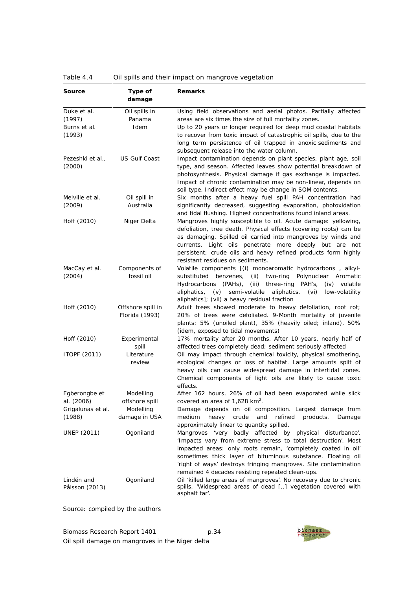| Source                                          | Type of<br>damage                   | Remarks                                                                                                                                                                                                                                                                                                                                                                          |
|-------------------------------------------------|-------------------------------------|----------------------------------------------------------------------------------------------------------------------------------------------------------------------------------------------------------------------------------------------------------------------------------------------------------------------------------------------------------------------------------|
| Duke et al.<br>(1997)<br>Burns et al.<br>(1993) | Oil spills in<br>Panama<br>Idem     | Using field observations and aerial photos. Partially affected<br>areas are six times the size of full mortality zones.<br>Up to 20 years or longer required for deep mud coastal habitats<br>to recover from toxic impact of catastrophic oil spills, due to the<br>long term persistence of oil trapped in anoxic sediments and<br>subsequent release into the water column.   |
| Pezeshki et al.,<br>(2000)                      | <b>US Gulf Coast</b>                | Impact contamination depends on plant species, plant age, soil<br>type, and season. Affected leaves show potential breakdown of<br>photosynthesis. Physical damage if gas exchange is impacted.<br>Impact of chronic contamination may be non-linear, depends on<br>soil type. Indirect effect may be change in SOM contents.                                                    |
| Melville et al.<br>(2009)                       | Oil spill in<br>Australia           | Six months after a heavy fuel spill PAH concentration had<br>significantly decreased, suggesting evaporation, photoxidation<br>and tidal flushing. Highest concentrations found inland areas.                                                                                                                                                                                    |
| Hoff (2010)                                     | Niger Delta                         | Mangroves highly susceptible to oil. Acute damage: yellowing,<br>defoliation, tree death. Physical effects (covering roots) can be<br>as damaging. Spilled oil carried into mangroves by winds and<br>currents. Light oils penetrate more deeply but are not<br>persistent; crude oils and heavy refined products form highly<br>resistant residues on sediments.                |
| MacCay et al.<br>(2004)                         | Components of<br>fossil oil         | Volatile components [(i) monoaromatic hydrocarbons, alkyl-<br>(ii) two-ring Polynuclear Aromatic<br>substituted benzenes,<br>Hydrocarbons (PAHs), (iii) three-ring PAH's,<br>(iv) volatile<br>aliphatics,<br>aliphatics,<br>(v) semi-volatile<br>(vi)<br>low-volatility<br>aliphatics]; (vii) a heavy residual fraction                                                          |
| Hoff (2010)                                     | Offshore spill in<br>Florida (1993) | Adult trees showed moderate to heavy defoliation, root rot;<br>20% of trees were defoliated. 9-Month mortality of juvenile<br>plants: 5% (unoiled plant), 35% (heavily oiled; inland), 50%<br>(idem, exposed to tidal movements)                                                                                                                                                 |
| Hoff (2010)                                     | Experimental<br>spill               | 17% mortality after 20 months. After 10 years, nearly half of<br>affected trees completely dead; sediment seriously affected                                                                                                                                                                                                                                                     |
| ITOPF (2011)                                    | Literature<br>review                | Oil may impact through chemical toxicity, physical smothering,<br>ecological changes or loss of habitat. Large amounts spilt of<br>heavy oils can cause widespread damage in intertidal zones.<br>Chemical components of light oils are likely to cause toxic<br>effects.                                                                                                        |
| Egberongbe et                                   | Modelling                           | After 162 hours, 26% of oil had been evaporated while slick                                                                                                                                                                                                                                                                                                                      |
| al. (2006)                                      | offshore spill                      | covered an area of 1,628 km <sup>2</sup> .                                                                                                                                                                                                                                                                                                                                       |
| Grigalunas et al.<br>(1988)                     | Modelling<br>damage in USA          | Damage depends on oil composition. Largest damage from<br>heavy<br>crude<br>and<br>refined<br>products.<br>medium<br>Damage<br>approximately linear to quantity spilled.                                                                                                                                                                                                         |
| UNEP (2011)                                     | Ogoniland                           | Mangroves 'very badly affected by physical disturbance'.<br>'Impacts vary from extreme stress to total destruction'. Most<br>impacted areas: only roots remain, 'completely coated in oil'<br>sometimes thick layer of bituminous substance. Floating oil<br>'right of ways' destroys fringing mangroves. Site contamination<br>remained 4 decades resisting repeated clean-ups. |
| Lindén and<br>Pålsson (2013)                    | Ogoniland                           | Oil 'killed large areas of mangroves'. No recovery due to chronic<br>spills. 'Widespread areas of dead [] vegetation covered with<br>asphalt tar'.                                                                                                                                                                                                                               |

*Table 4.4 Oil spills and their impact on mangrove vegetation*

*Source: compiled by the authors*

Biomass Research Report 1401 p.34 Oil spill damage on mangroves in the Niger delta

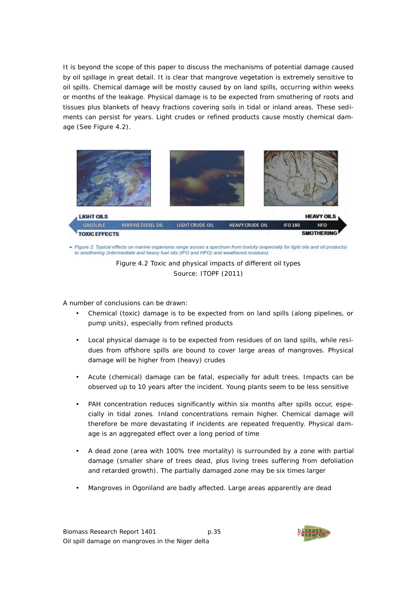It is beyond the scope of this paper to discuss the mechanisms of potential damage caused by oil spillage in great detail. It is clear that mangrove vegetation is extremely sensitive to oil spills. Chemical damage will be mostly caused by on land spills, occurring within weeks or months of the leakage. Physical damage is to be expected from smothering of roots and tissues plus blankets of heavy fractions covering soils in tidal or inland areas. These sediments can persist for years. Light crudes or refined products cause mostly chemical damage (See Figure 4.2).



Figure 2: Typical effects on marine organisms range across a spectrum from toxicity (especially for light oils and oil products) to smothering (intermediate and heavy fuel oils (IFO and HFO) and weathered residues).

> Figure 4.2 Toxic and physical impacts of different oil types Source: ITOPF (2011)

A number of conclusions can be drawn:

- Chemical (toxic) damage is to be expected from on land spills (along pipelines, or pump units), especially from refined products
- Local physical damage is to be expected from residues of on land spills, while residues from offshore spills are bound to cover large areas of mangroves. Physical damage will be higher from (heavy) crudes
- Acute (chemical) damage can be fatal, especially for adult trees. Impacts can be observed up to 10 years after the incident. Young plants seem to be less sensitive
- PAH concentration reduces significantly within six months after spills occur, especially in tidal zones. Inland concentrations remain higher. Chemical damage will therefore be more devastating if incidents are repeated frequently. Physical damage is an aggregated effect over a long period of time
- A dead zone (area with 100% tree mortality) is surrounded by a zone with partial damage (smaller share of trees dead, plus living trees suffering from defoliation and retarded growth). The partially damaged zone may be six times larger
- Mangroves in Ogoniland are badly affected. Large areas apparently are dead

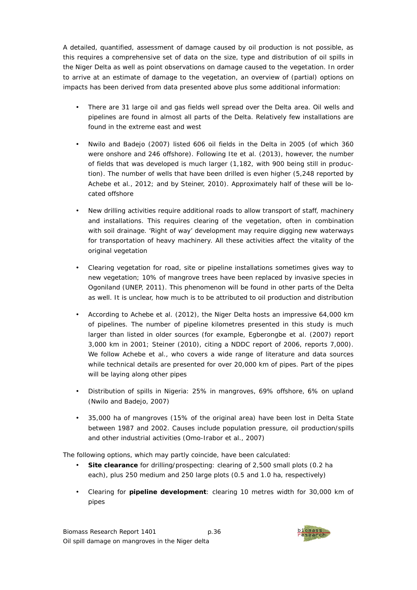A detailed, quantified, assessment of damage caused by oil production is not possible, as this requires a comprehensive set of data on the size, type and distribution of oil spills in the Niger Delta as well as point observations on damage caused to the vegetation. In order to arrive at an estimate of damage to the vegetation, an overview of (partial) options on impacts has been derived from data presented above plus some additional information:

- There are 31 large oil and gas fields well spread over the Delta area. Oil wells and pipelines are found in almost all parts of the Delta. Relatively few installations are found in the extreme east and west
- Nwilo and Badejo (2007) listed 606 oil fields in the Delta in 2005 (of which 360 were onshore and 246 offshore). Following Ite *et al.* (2013), however, the number of fields that was developed is much larger (1,182, with 900 being still in production). The number of wells that have been drilled is even higher (5,248 reported by Achebe *et al.*, 2012; and by Steiner, 2010). Approximately half of these will be located offshore
- New drilling activities require additional roads to allow transport of staff, machinery and installations. This requires clearing of the vegetation, often in combination with soil drainage. 'Right of way' development may require digging new waterways for transportation of heavy machinery. All these activities affect the vitality of the original vegetation
- Clearing vegetation for road, site or pipeline installations sometimes gives way to new vegetation; 10% of mangrove trees have been replaced by invasive species in Ogoniland (UNEP, 2011). This phenomenon will be found in other parts of the Delta as well. It is unclear, how much is to be attributed to oil production and distribution
- According to Achebe *et al.* (2012), the Niger Delta hosts an impressive 64,000 km of pipelines. The number of pipeline kilometres presented in this study is much larger than listed in older sources (for example, Egberongbe *et al.* (2007) report 3,000 km in 2001; Steiner (2010), citing a NDDC report of 2006, reports 7,000). We follow Achebe *et al.*, who covers a wide range of literature and data sources while technical details are presented for over 20,000 km of pipes. Part of the pipes will be laying along other pipes
- Distribution of spills in Nigeria: 25% in mangroves, 69% offshore, 6% on upland (Nwilo and Badejo, 2007)
- 35,000 ha of mangroves (15% of the original area) have been lost in Delta State between 1987 and 2002. Causes include population pressure, oil production/spills and other industrial activities (Omo-Irabor *et al.*, 2007)

The following options, which may partly coincide, have been calculated:

- **Site clearance** for drilling/prospecting: clearing of 2,500 small plots (0.2 ha each), plus 250 medium and 250 large plots (0.5 and 1.0 ha, respectively)
- Clearing for **pipeline development**: clearing 10 metres width for 30,000 km of pipes

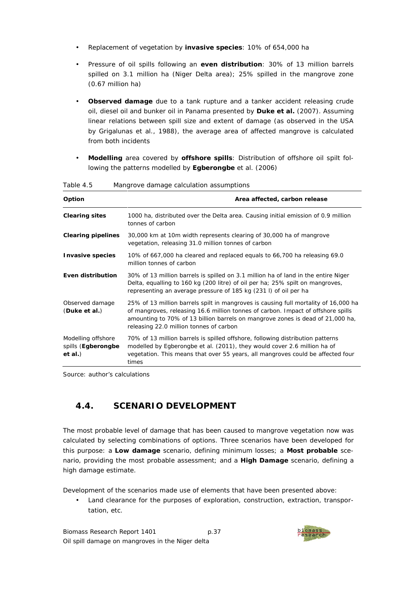- Replacement of vegetation by **invasive species**: 10% of 654,000 ha
- Pressure of oil spills following an **even distribution**: 30% of 13 million barrels spilled on 3.1 million ha (Niger Delta area); 25% spilled in the mangrove zone (0.67 million ha)
- **Observed damage** due to a tank rupture and a tanker accident releasing crude oil, diesel oil and bunker oil in Panama presented by **Duke** *et al.* (2007). Assuming linear relations between spill size and extent of damage (as observed in the USA by Grigalunas *et al.*, 1988), the average area of affected mangrove is calculated from both incidents
- **Modelling** area covered by **offshore spills**: Distribution of offshore oil spilt following the patterns modelled by **Egberongbe** *et al.* (2006)

| Option                                              | Area affected, carbon release                                                                                                                                                                                                                                                                        |  |  |
|-----------------------------------------------------|------------------------------------------------------------------------------------------------------------------------------------------------------------------------------------------------------------------------------------------------------------------------------------------------------|--|--|
| Clearing sites                                      | 1000 ha, distributed over the Delta area. Causing initial emission of 0.9 million<br>tonnes of carbon                                                                                                                                                                                                |  |  |
| Clearing pipelines                                  | 30,000 km at 10m width represents clearing of 30,000 ha of mangrove<br>vegetation, releasing 31.0 million tonnes of carbon                                                                                                                                                                           |  |  |
| Invasive species                                    | 10% of 667,000 ha cleared and replaced equals to 66,700 ha releasing 69.0<br>million tonnes of carbon                                                                                                                                                                                                |  |  |
| Even distribution                                   | 30% of 13 million barrels is spilled on 3.1 million ha of land in the entire Niger<br>Delta, equalling to 160 kg (200 litre) of oil per ha; 25% spilt on mangroves,<br>representing an average pressure of 185 kg (231 I) of oil per ha                                                              |  |  |
| Observed damage<br>(Duke et al.)                    | 25% of 13 million barrels spilt in mangroves is causing full mortality of 16,000 ha<br>of mangroves, releasing 16.6 million tonnes of carbon. Impact of offshore spills<br>amounting to 70% of 13 billion barrels on mangrove zones is dead of 21,000 ha,<br>releasing 22.0 million tonnes of carbon |  |  |
| Modelling offshore<br>spills (Egberongbe<br>et al.) | 70% of 13 million barrels is spilled offshore, following distribution patterns<br>modelled by Egberongbe et al. (2011), they would cover 2.6 million ha of<br>vegetation. This means that over 55 years, all mangroves could be affected four<br>times                                               |  |  |

*Table 4.5 Mangrove damage calculation assumptions*

*Source: author's calculations*

#### **4.4. SCENARIO DEVELOPMENT**

The most probable level of damage that has been caused to mangrove vegetation now was calculated by selecting combinations of options. Three scenarios have been developed for this purpose: a **Low damage** scenario, defining minimum losses; a **Most probable** scenario, providing the most probable assessment; and a **High Damage** scenario, defining a high damage estimate.

Development of the scenarios made use of elements that have been presented above:

 Land clearance for the purposes of exploration, construction, extraction, transportation, etc.

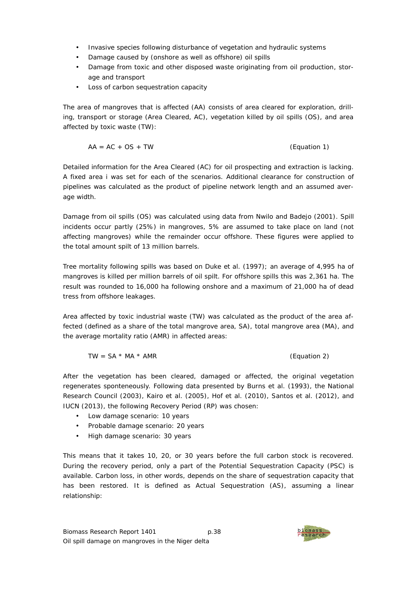- Invasive species following disturbance of vegetation and hydraulic systems
- Damage caused by (onshore as well as offshore) oil spills
- Damage from toxic and other disposed waste originating from oil production, storage and transport
- Loss of carbon sequestration capacity

The area of mangroves that is affected (AA) consists of area cleared for exploration, drilling, transport or storage (Area Cleared, AC), vegetation killed by oil spills (OS), and area affected by toxic waste (TW):

$$
AA = AC + OS + TW
$$
 (Equation 1)

Detailed information for the Area Cleared (AC) for oil prospecting and extraction is lacking. A fixed area i was set for each of the scenarios. Additional clearance for construction of pipelines was calculated as the product of pipeline network length and an assumed average width.

Damage from oil spills (OS) was calculated using data from Nwilo and Badejo (2001). Spill incidents occur partly (25%) in mangroves, 5% are assumed to take place on land (not affecting mangroves) while the remainder occur offshore. These figures were applied to the total amount spilt of 13 million barrels.

Tree mortality following spills was based on Duke *et al.* (1997); an average of 4,995 ha of mangroves is killed per million barrels of oil spilt. For offshore spills this was 2,361 ha. The result was rounded to 16,000 ha following onshore and a maximum of 21,000 ha of dead tress from offshore leakages.

Area affected by toxic industrial waste (TW) was calculated as the product of the area affected (defined as a share of the total mangrove area, SA), total mangrove area (MA), and the average mortality ratio (AMR) in affected areas:

$$
TW = SA * MA * AMR
$$
 (Equation 2)

After the vegetation has been cleared, damaged or affected, the original vegetation regenerates sponteneously. Following data presented by Burns *et al.* (1993), the National Research Council (2003), Kairo *et al.* (2005), Hof *et al.* (2010), Santos *et al.* (2012), and IUCN (2013), the following Recovery Period (RP) was chosen:

- Low damage scenario: 10 years
- Probable damage scenario: 20 years
- High damage scenario: 30 years

This means that it takes 10, 20, or 30 years before the full carbon stock is recovered. During the recovery period, only a part of the Potential Sequestration Capacity (PSC) is available. Carbon loss, in other words, depends on the share of sequestration capacity that has been restored. It is defined as Actual Sequestration (AS), assuming a linear relationship:

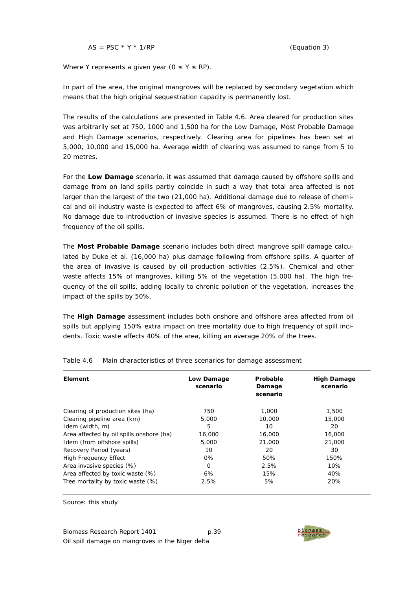$AS = PSC * Y * 1/RP$  (Equation 3)

Where Y represents a given year  $(0 \t Y \t RP)$ .

In part of the area, the original mangroves will be replaced by secondary vegetation which means that the high original sequestration capacity is permanently lost.

The results of the calculations are presented in Table 4.6. Area cleared for production sites was arbitrarily set at 750, 1000 and 1,500 ha for the Low Damage, Most Probable Damage and High Damage scenarios, respectively. Clearing area for pipelines has been set at 5,000, 10,000 and 15,000 ha. Average width of clearing was assumed to range from 5 to 20 metres.

For the **Low Damage** scenario, it was assumed that damage caused by offshore spills and damage from on land spills partly coincide in such a way that total area affected is not larger than the largest of the two (21,000 ha). Additional damage due to release of chemical and oil industry waste is expected to affect 6% of mangroves, causing 2.5% mortality. No damage due to introduction of invasive species is assumed. There is no effect of high frequency of the oil spills.

The **Most Probable Damage** scenario includes both direct mangrove spill damage calculated by Duke *et al.* (16,000 ha) plus damage following from offshore spills. A quarter of the area of invasive is caused by oil production activities (2.5%). Chemical and other waste affects 15% of mangroves, killing 5% of the vegetation (5,000 ha). The high frequency of the oil spills, adding locally to chronic pollution of the vegetation, increases the impact of the spills by 50%.

The **High Damage** assessment includes both onshore and offshore area affected from oil spills but applying 150% extra impact on tree mortality due to high frequency of spill incidents. Toxic waste affects 40% of the area, killing an average 20% of the trees.

| Element                                  | Low Damage<br>scenario | Probable<br>Damage<br>scenario | High Damage<br>scenario |
|------------------------------------------|------------------------|--------------------------------|-------------------------|
| Clearing of production sites (ha)        | 750                    | 1,000                          | 1,500                   |
| Clearing pipeline area (km)              | 5,000                  | 10,000                         | 15,000                  |
| Idem (width, m)                          | 5                      | 10                             | 20                      |
| Area affected by oil spills onshore (ha) | 16,000                 | 16,000                         | 16,000                  |
| Idem (from offshore spills)              | 5,000                  | 21,000                         | 21,000                  |
| Recovery Period (years)                  | 10                     | 20                             | 30                      |
| <b>High Frequency Effect</b>             | 0%                     | 50%                            | 150%                    |
| Area invasive species (%)                | $\Omega$               | 2.5%                           | 10%                     |
| Area affected by toxic waste (%)         | 6%                     | 15%                            | 40%                     |
| Tree mortality by toxic waste (%)        | 2.5%                   | 5%                             | 20%                     |

*Table 4.6 Main characteristics of three scenarios for damage assessment*

*Source: this study*

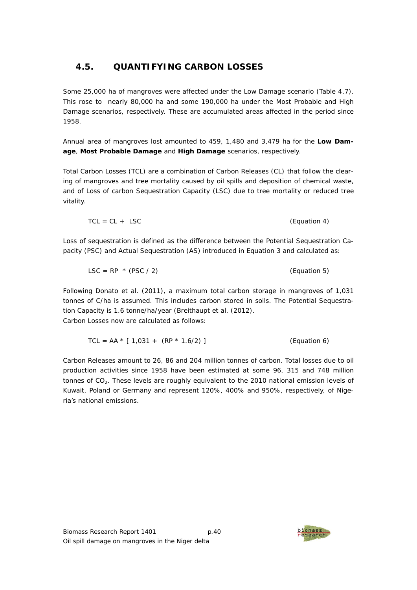#### **4.5. QUANTIFYING CARBON LOSSES**

Some 25,000 ha of mangroves were affected under the Low Damage scenario (Table 4.7). This rose to nearly 80,000 ha and some 190,000 ha under the Most Probable and High Damage scenarios, respectively. These are accumulated areas affected in the period since 1958.

Annual area of mangroves lost amounted to 459, 1,480 and 3,479 ha for the **Low Damage**, **Most Probable Damage** and **High Damage** scenarios, respectively.

Total Carbon Losses (TCL) are a combination of Carbon Releases (CL) that follow the clearing of mangroves and tree mortality caused by oil spills and deposition of chemical waste, and of Loss of carbon Sequestration Capacity (LSC) due to tree mortality or reduced tree vitality.

$$
TCL = CL + LSC
$$
 (Equation 4)

Loss of sequestration is defined as the difference between the Potential Sequestration Capacity (PSC) and Actual Sequestration (AS) introduced in Equation 3 and calculated as:

$$
LSC = RP * (PSC / 2)
$$
 (Equation 5)

Following Donato *et al*. (2011), a maximum total carbon storage in mangroves of 1,031 tonnes of C/ha is assumed. This includes carbon stored in soils. The Potential Sequestration Capacity is 1.6 tonne/ha/year (Breithaupt *et al*. (2012). Carbon Losses now are calculated as follows:

$$
TCL = AA * [1,031 + (RP * 1.6/2)]
$$
 (Equation 6)

Carbon Releases amount to 26, 86 and 204 million tonnes of carbon. Total losses due to oil production activities since 1958 have been estimated at some 96, 315 and 748 million tonnes of CO<sub>2</sub>. These levels are roughly equivalent to the 2010 national emission levels of Kuwait, Poland or Germany and represent 120%, 400% and 950%, respectively, of Nigeria's national emissions.

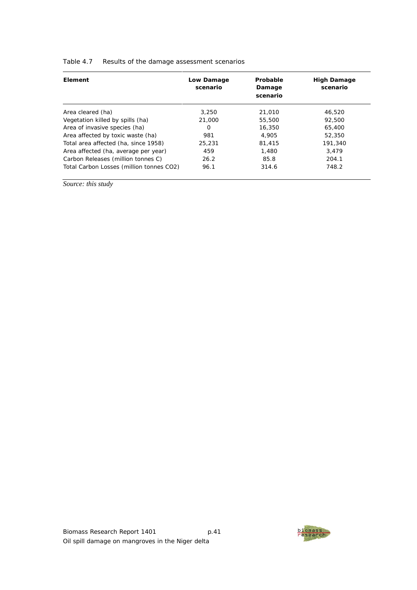| Element                                  | Low Damage<br>scenario | Probable<br>Damage<br>scenario | High Damage<br>scenario |
|------------------------------------------|------------------------|--------------------------------|-------------------------|
| Area cleared (ha)                        | 3,250                  | 21,010                         | 46,520                  |
| Vegetation killed by spills (ha)         | 21,000                 | 55,500                         | 92,500                  |
| Area of invasive species (ha)            | $\Omega$               | 16,350                         | 65,400                  |
| Area affected by toxic waste (ha)        | 981                    | 4.905                          | 52,350                  |
| Total area affected (ha, since 1958)     | 25,231                 | 81,415                         | 191.340                 |
| Area affected (ha, average per year)     | 459                    | 1,480                          | 3.479                   |
| Carbon Releases (million tonnes C)       | 26.2                   | 85.8                           | 204.1                   |
| Total Carbon Losses (million tonnes CO2) | 96.1                   | 314.6                          | 748.2                   |

*Table 4.7 Results of the damage assessment scenarios*

*Source: this study*

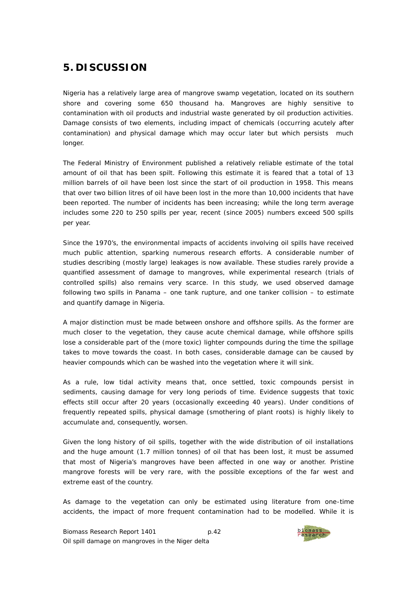## **5. DISCUSSION**

Nigeria has a relatively large area of mangrove swamp vegetation, located on its southern shore and covering some 650 thousand ha. Mangroves are highly sensitive to contamination with oil products and industrial waste generated by oil production activities. Damage consists of two elements, including impact of chemicals (occurring acutely after contamination) and physical damage which may occur later but which persists much longer.

The Federal Ministry of Environment published a relatively reliable estimate of the total amount of oil that has been spilt. Following this estimate it is feared that a total of 13 million barrels of oil have been lost since the start of oil production in 1958. This means that over two billion litres of oil have been lost in the more than 10,000 incidents that have been reported. The number of incidents has been increasing; while the long term average includes some 220 to 250 spills per year, recent (since 2005) numbers exceed 500 spills per year.

Since the 1970's, the environmental impacts of accidents involving oil spills have received much public attention, sparking numerous research efforts. A considerable number of studies describing (mostly large) leakages is now available. These studies rarely provide a quantified assessment of damage to mangroves, while experimental research (trials of controlled spills) also remains very scarce. In this study, we used observed damage following two spills in Panama – one tank rupture, and one tanker collision – to estimate and quantify damage in Nigeria.

A major distinction must be made between onshore and offshore spills. As the former are much closer to the vegetation, they cause acute chemical damage, while offshore spills lose a considerable part of the (more toxic) lighter compounds during the time the spillage takes to move towards the coast. In both cases, considerable damage can be caused by heavier compounds which can be washed into the vegetation where it will sink.

As a rule, low tidal activity means that, once settled, toxic compounds persist in sediments, causing damage for very long periods of time. Evidence suggests that toxic effects still occur after 20 years (occasionally exceeding 40 years). Under conditions of frequently repeated spills, physical damage (smothering of plant roots) is highly likely to accumulate and, consequently, worsen.

Given the long history of oil spills, together with the wide distribution of oil installations and the huge amount (1.7 million tonnes) of oil that has been lost, it must be assumed that most of Nigeria's mangroves have been affected in one way or another. Pristine mangrove forests will be very rare, with the possible exceptions of the far west and extreme east of the country.

As damage to the vegetation can only be estimated using literature from one-time accidents, the impact of more frequent contamination had to be modelled. While it is

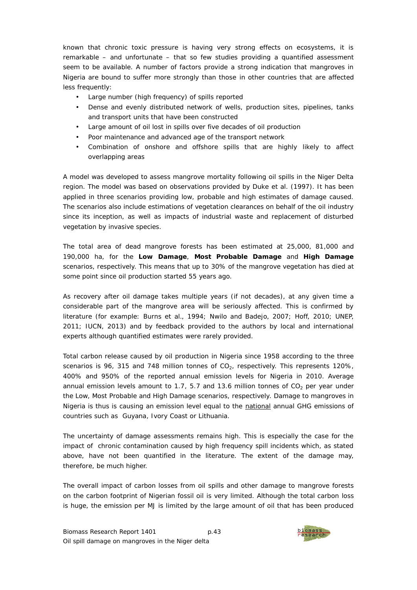known that chronic toxic pressure is having very strong effects on ecosystems, it is remarkable – and unfortunate – that so few studies providing a *quantified* assessment seem to be available. A number of factors provide a strong indication that mangroves in Nigeria are bound to suffer more strongly than those in other countries that are affected less frequently:

- Large number (high frequency) of spills reported
- Dense and evenly distributed network of wells, production sites, pipelines, tanks and transport units that have been constructed
- Large amount of oil lost in spills over five decades of oil production
- Poor maintenance and advanced age of the transport network
- Combination of onshore and offshore spills that are highly likely to affect overlapping areas

A model was developed to assess mangrove mortality following oil spills in the Niger Delta region. The model was based on observations provided by Duke *et al*. (1997). It has been applied in three scenarios providing low, probable and high estimates of damage caused. The scenarios also include estimations of vegetation clearances on behalf of the oil industry since its inception, as well as impacts of industrial waste and replacement of disturbed vegetation by invasive species.

The total area of dead mangrove forests has been estimated at 25,000, 81,000 and 190,000 ha, for the **Low Damage**, **Most Probable Damage** and **High Damage** scenarios, respectively. This means that up to 30% of the mangrove vegetation has died at some point since oil production started 55 years ago.

As recovery after oil damage takes multiple years (if not decades), at any given time a considerable part of the mangrove area will be seriously affected. This is confirmed by literature (for example: Burns et al., 1994; Nwilo and Badejo, 2007; Hoff, 2010; UNEP, 2011; IUCN, 2013) and by feedback provided to the authors by local and international experts although quantified estimates were rarely provided.

Total carbon release caused by oil production in Nigeria since 1958 according to the three scenarios is 96, 315 and 748 million tonnes of  $CO<sub>2</sub>$ , respectively. This represents 120%, 400% and 950% of the reported annual emission levels for Nigeria in 2010. Average annual emission levels amount to 1.7, 5.7 and 13.6 million tonnes of  $CO<sub>2</sub>$  per year under the Low, Most Probable and High Damage scenarios, respectively. Damage to mangroves in Nigeria is thus is causing an emission level equal to the national annual GHG emissions of countries such as Guyana, Ivory Coast or Lithuania.

The uncertainty of damage assessments remains high. This is especially the case for the impact of chronic contamination caused by high frequency spill incidents which, as stated above, have not been quantified in the literature. The extent of the damage may, therefore, be much higher.

The overall impact of carbon losses from oil spills and other damage to mangrove forests on the carbon footprint of Nigerian fossil oil is very limited. Although the total carbon loss is huge, the emission per MJ is limited by the large amount of oil that has been produced

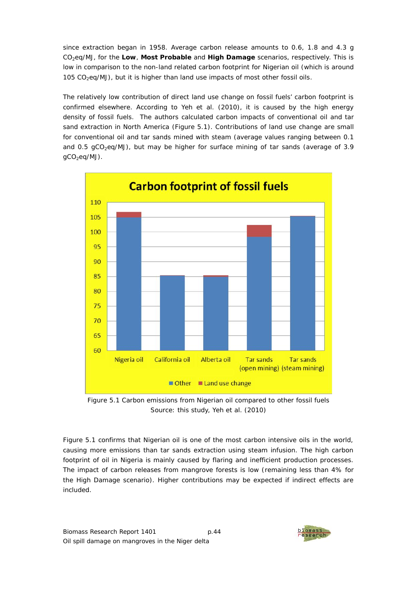since extraction began in 1958. Average carbon release amounts to 0.6, 1.8 and 4.3 g CO2eq/MJ, for the **Low**, **Most Probable** and **High Damage** scenarios, respectively. This is low in comparison to the non-land related carbon footprint for Nigerian oil (which is around 105  $CO<sub>2</sub>eq/MJ$ , but it is higher than land use impacts of most other fossil oils.

The relatively low contribution of direct land use change on fossil fuels' carbon footprint is confirmed elsewhere. According to Yeh *et al*. (2010), it is caused by the high energy density of fossil fuels. The authors calculated carbon impacts of conventional oil and tar sand extraction in North America (Figure 5.1). Contributions of land use change are small for conventional oil and tar sands mined with steam (average values ranging between 0.1 and  $0.5$  gCO<sub>2</sub>eq/MJ), but may be higher for surface mining of tar sands (average of  $3.9$ gCO<sub>2</sub>eq/MJ).





Figure 5.1 confirms that Nigerian oil is one of the most carbon intensive oils in the world, causing more emissions than tar sands extraction using steam infusion. The high carbon footprint of oil in Nigeria is mainly caused by flaring and inefficient production processes. The impact of carbon releases from mangrove forests is low (remaining less than 4% for the High Damage scenario). Higher contributions may be expected if indirect effects are included.

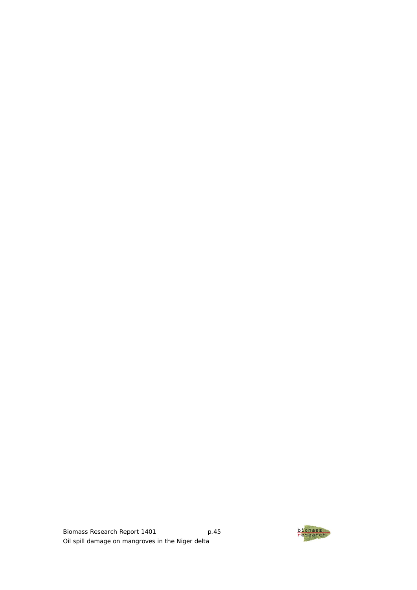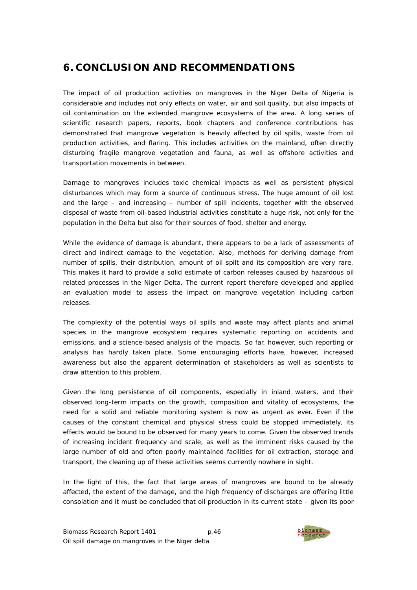## **6. CONCLUSION AND RECOMMENDATIONS**

The impact of oil production activities on mangroves in the Niger Delta of Nigeria is considerable and includes not only effects on water, air and soil quality, but also impacts of oil contamination on the extended mangrove ecosystems of the area. A long series of scientific research papers, reports, book chapters and conference contributions has demonstrated that mangrove vegetation is heavily affected by oil spills, waste from oil production activities, and flaring. This includes activities on the mainland, often directly disturbing fragile mangrove vegetation and fauna, as well as offshore activities and transportation movements in between.

Damage to mangroves includes toxic chemical impacts as well as persistent physical disturbances which may form a source of continuous stress. The huge amount of oil lost and the large – and increasing – number of spill incidents, together with the observed disposal of waste from oil-based industrial activities constitute a huge risk, not only for the population in the Delta but also for their sources of food, shelter and energy.

While the evidence of damage is abundant, there appears to be a lack of assessments of direct and indirect damage to the vegetation. Also, methods for deriving damage from number of spills, their distribution, amount of oil spilt and its composition are very rare. This makes it hard to provide a solid estimate of carbon releases caused by hazardous oil related processes in the Niger Delta. The current report therefore developed and applied an evaluation model to assess the impact on mangrove vegetation including carbon releases.

The complexity of the potential ways oil spills and waste may affect plants and animal species in the mangrove ecosystem requires systematic reporting on accidents and emissions, and a science-based analysis of the impacts. So far, however, such reporting or analysis has hardly taken place. Some encouraging efforts have, however, increased awareness but also the apparent determination of stakeholders as well as scientists to draw attention to this problem.

Given the long persistence of oil components, especially in inland waters, and their observed long-term impacts on the growth, composition and vitality of ecosystems, the need for a solid and reliable monitoring system is now as urgent as ever. Even if the causes of the constant chemical and physical stress could be stopped immediately, its effects would be bound to be observed for many years to come. Given the observed trends of increasing incident frequency and scale, as well as the imminent risks caused by the large number of old and often poorly maintained facilities for oil extraction, storage and transport, the cleaning up of these activities seems currently nowhere in sight.

In the light of this, the fact that large areas of mangroves are bound to be already affected, the extent of the damage, and the high frequency of discharges are offering little consolation and it must be concluded that oil production in its current state – given its poor

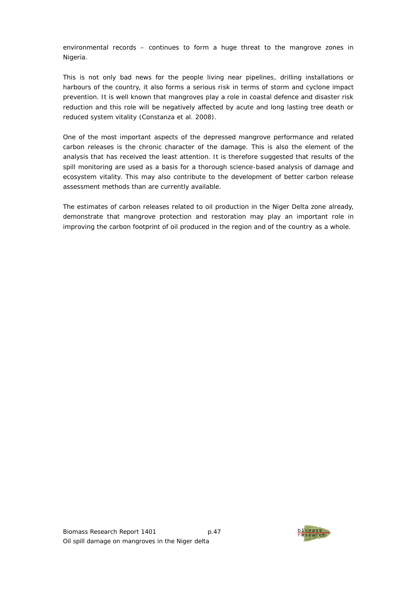environmental records – continues to form a huge threat to the mangrove zones in Nigeria.

This is not only bad news for the people living near pipelines, drilling installations or harbours of the country, it also forms a serious risk in terms of storm and cyclone impact prevention. It is well known that mangroves play a role in coastal defence and disaster risk reduction and this role will be negatively affected by acute and long lasting tree death or reduced system vitality (Constanza *et al*. 2008).

One of the most important aspects of the depressed mangrove performance and related carbon releases is the chronic character of the damage. This is also the element of the analysis that has received the least attention. It is therefore suggested that results of the spill monitoring are used as a basis for a thorough science-based analysis of damage and ecosystem vitality. This may also contribute to the development of better carbon release assessment methods than are currently available.

The estimates of carbon releases related to oil production in the Niger Delta zone already, demonstrate that mangrove protection and restoration may play an important role in improving the carbon footprint of oil produced in the region and of the country as a whole.

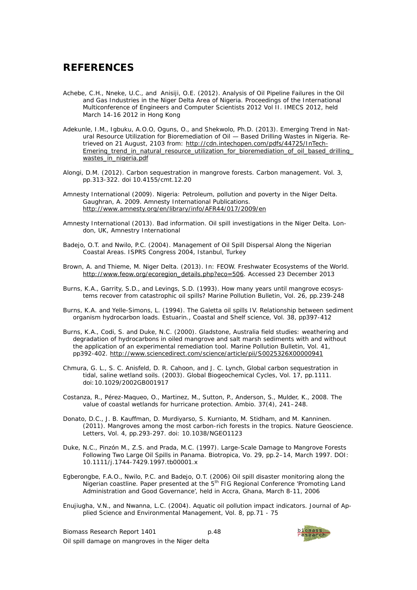#### **REFERENCES**

- Achebe, C.H., Nneke, U.C., and Anisiji, O.E. (2012). Analysis of Oil Pipeline Failures in the Oil and Gas Industries in the Niger Delta Area of Nigeria. Proceedings of the International Multiconference of Engineers and Computer Scientists 2012 Vol II. IMECS 2012, held March 14-16 2012 in Hong Kong
- Adekunle, I.M., Igbuku, A.O.O, Oguns, O., and Shekwolo, Ph.D. (2013). Emerging Trend in Natural Resource Utilization for Bioremediation of Oil — Based Drilling Wastes in Nigeria. Retrieved on 21 August, 2103 from: http://cdn.intechopen.com/pdfs/44725/InTech- Emering\_trend\_in\_natural\_resource\_utilization\_for\_bioremediation\_of\_oil\_based\_drilling\_ wastes\_in\_nigeria.pdf
- Alongi, D.M. (2012). Carbon sequestration in mangrove forests. *Carbon management*. Vol. 3, pp.313-322. doi 10.4155/cmt.12.20
- Amnesty International (2009). Nigeria: Petroleum, pollution and poverty in the Niger Delta. Gaughran, A. 2009. Amnesty International Publications. http://www.amnesty.org/en/library/info/AFR44/017/2009/en
- Amnesty International (2013). Bad information. Oil spill investigations in the Niger Delta. London, UK, Amnestry International
- Badejo, O.T. and Nwilo, P.C. (2004). Management of Oil Spill Dispersal Along the Nigerian Coastal Areas. ISPRS Congress 2004, Istanbul, Turkey
- Brown, A. and Thieme, M. Niger Delta. (2013). In: FEOW. Freshwater Ecosystems of the World. http://www.feow.org/ecoregion\_details.php?eco=506. Accessed 23 December 2013
- Burns, K.A., Garrity, S.D., and Levings, S.D. (1993). How many years until mangrove ecosystems recover from catastrophic oil spills? *Marine Pollution Bulletin*, Vol. 26, pp.239-248
- Burns, K.A. and Yelle-Simons, L. (1994). The Galetta oil spills IV. Relationship between sediment organism hydrocarbon loads. *Estuarin., Coastal and Shelf science*, Vol. 38, pp397-412
- Burns, K.A., Codi, S. and Duke, N.C. (2000). Gladstone, Australia field studies: weathering and degradation of hydrocarbons in oiled mangrove and salt marsh sediments with and without the application of an experimental remediation tool. *Marine Pollution Bulletin*, Vol. 41, pp392-402. http://www.sciencedirect.com/science/article/pii/S0025326X00000941
- Chmura, G. L., S. C. Anisfeld, D. R. Cahoon, and J. C. Lynch, Global carbon sequestration in tidal, saline wetland soils. (2003). *Global Biogeochemical Cycles*, Vol. 17, pp.1111. doi:10.1029/2002GB001917
- Costanza, R., Pérez-Maqueo, O., Martinez, M., Sutton, P., Anderson, S., Mulder, K., 2008. The value of coastal wetlands for hurricane protection. Ambio. 37(4), 241–248.
- Donato, D.C., J. B. Kauffman, D. Murdiyarso, S. Kurnianto, M. Stidham, and M. Kanninen. (2011). Mangroves among the most carbon-rich forests in the tropics. *Nature Geoscience. Letters*, Vol. 4, pp.293-297. doi: 10.1038/NGEO1123
- Duke, N.C., Pinzón M., Z.S. and Prada, M.C. (1997). Large-Scale Damage to Mangrove Forests Following Two Large Oil Spills in Panama. Biotropica, Vo. 29, pp.2–14, March 1997. DOI: 10.1111/j.1744-7429.1997.tb00001.x
- Egberongbe, F.A.O., Nwilo, P.C. and Badejo, O.T. (2006) Oil spill disaster monitoring along the Nigerian coastline. Paper presented at the 5<sup>th</sup> FIG Regional Conference 'Promoting Land Administration and Good Governance', held in Accra, Ghana, March 8-11, 2006
- Enujiugha, V.N., and Nwanna, L.C. (2004). Aquatic oil pollution impact indicators. Journal of Applied Science and Environmental Management, Vol. 8, pp.71 - 75

Biomass Research Report 1401 p.48 Oil spill damage on mangroves in the Niger delta

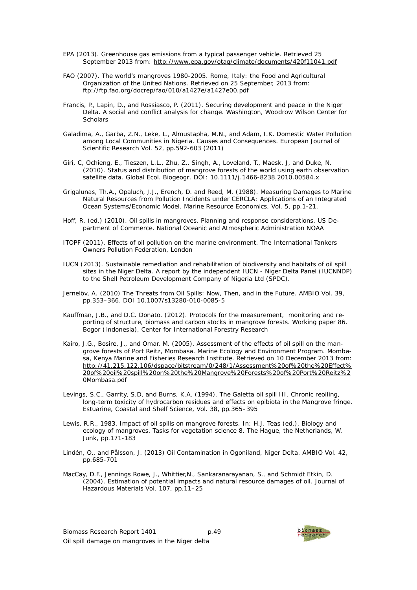- EPA (2013). Greenhouse gas emissions from a typical passenger vehicle. Retrieved 25 September 2013 from: http://www.epa.gov/otaq/climate/documents/420f11041.pdf
- FAO (2007). The world's mangroves 1980-2005. Rome, Italy: the Food and Agricultural Organization of the United Nations. Retrieved on 25 September, 2013 from: ftp://ftp.fao.org/docrep/fao/010/a1427e/a1427e00.pdf
- Francis, P., Lapin, D., and Rossiasco, P. (2011). Securing development and peace in the Niger Delta. A social and conflict analysis for change. Washington, Woodrow Wilson Center for **Scholars**
- Galadima, A., Garba, Z.N., Leke, L., Almustapha, M.N., and Adam, I.K. Domestic Water Pollution among Local Communities in Nigeria. Causes and Consequences. *European Journal of Scientific Research* Vol. 52, pp.592-603 (2011)
- Giri, C, Ochieng, E., Tieszen, L.L., Zhu, Z., Singh, A., Loveland, T., Maesk, J, and Duke, N. (2010). Status and distribution of mangrove forests of the world using earth observation satellite data. *Global Ecol. Biogeogr*. DOI: 10.1111/j.1466-8238.2010.00584.x
- Grigalunas, Th.A., Opaluch, J.J., Erench, D. and Reed, M. (1988). Measuring Damages to Marine Natural Resources from Pollution Incidents under CERCLA: Applications of an Integrated Ocean Systems/Economic Model. *Marine Resource Economics*, Vol. 5, pp.1-21.
- Hoff, R. (ed.) (2010). Oil spills in mangroves. Planning and response considerations. US Department of Commerce. National Oceanic and Atmospheric Administration NOAA
- ITOPF (2011). Effects of oil pollution on the marine environment. The International Tankers Owners Pollution Federation, London
- IUCN (2013). Sustainable remediation and rehabilitation of biodiversity and habitats of oil spill sites in the Niger Delta. A report by the independent IUCN - Niger Delta Panel (IUCNNDP) to the Shell Petroleum Development Company of Nigeria Ltd (SPDC).
- Jernelöv, A. (2010) The Threats from Oil Spills: Now, Then, and in the Future. *AMBIO* Vol. 39, pp.353–366. DOI 10.1007/s13280-010-0085-5
- Kauffman, J.B., and D.C. Donato. (2012). Protocols for the measurement, monitoring and reporting of structure, biomass and carbon stocks in mangrove forests. Working paper 86. Bogor (Indonesia), Center for International Forestry Research
- Kairo, J.G., Bosire, J., and Omar, M. (2005). Assessment of the effects of oil spill on the mangrove forests of Port Reitz, Mombasa. Marine Ecology and Environment Program. Mombasa, Kenya Marine and Fisheries Research Institute. Retrieved on 10 December 2013 from: http://41.215.122.106/dspace/bitstream/0/248/1/Assessment%20of%20the%20Effect% 20of%20oil%20spill%20on%20the%20Mangrove%20Forests%20of%20Port%20Reitz%2 0Mombasa.pdf
- Levings, S.C., Garrity, S.D, and Burns, K.A. (1994). The Galetta oil spill III. Chronic reoiling, long-term toxicity of hydrocarbon residues and effects on epibiota in the Mangrove fringe. *Estuarine, Coastal and Shelf Science*, Vol. 38, pp.365–395
- Lewis, R.R., 1983. Impact of oil spills on mangrove forests. In: H.J. Teas (ed.), Biology and ecology of mangroves. Tasks for vegetation science 8. The Hague, the Netherlands, W. Junk, pp.171-183
- Lindén, O., and Pålsson, J. (2013) Oil Contamination in Ogoniland, Niger Delta. *AMBIO* Vol. 42, pp.685-701
- MacCay, D.F., Jennings Rowe, J., Whittier,N., Sankaranarayanan, S., and Schmidt Etkin, D. (2004). Estimation of potential impacts and natural resource damages of oil. *Journal of Hazardous Materials* Vol. 107, pp.11–25

Biomass Research Report 1401 p.49 Oil spill damage on mangroves in the Niger delta

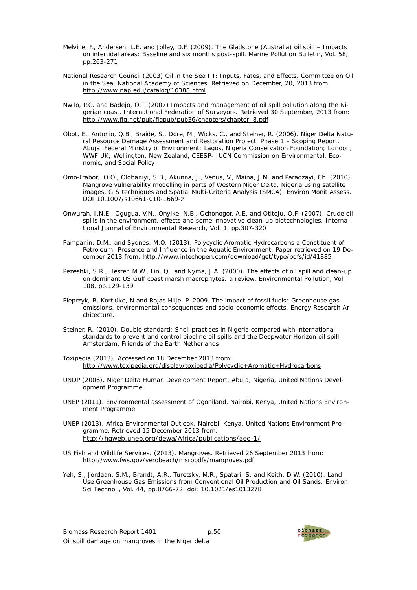- Melville, F., Andersen, L.E. and Jolley, D.F. (2009). The Gladstone (Australia) oil spill Impacts on intertidal areas: Baseline and six months post-spill. *Marine Pollution Bulletin*, Vol. 58, pp.263-271
- National Research Council (2003) Oil in the Sea III: Inputs, Fates, and Effects. Committee on Oil in the Sea. National Academy of Sciences. Retrieved on December, 20, 2013 from: http://www.nap.edu/catalog/10388.html.
- Nwilo, P.C. and Badejo, O.T. (2007) Impacts and management of oil spill pollution along the Nigerian coast. International Federation of Surveyors. Retrieved 30 September, 2013 from: http://www.fig.net/pub/figpub/pub36/chapters/chapter\_8.pdf
- Obot, E., Antonio, Q.B., Braide, S., Dore, M., Wicks, C., and Steiner, R. (2006). Niger Delta Natural Resource Damage Assessment and Restoration Project. Phase 1 – Scoping Report. Abuja, Federal Ministry of Environment; Lagos, Nigeria Conservation Foundation; London, WWF UK; Wellington, New Zealand, CEESP- IUCN Commission on Environmental, Economic, and Social Policy
- Omo-Irabor, O.O., Olobaniyi, S.B., Akunna, J., Venus, V., Maina, J.M. and Paradzayi, Ch. (2010). Mangrove vulnerability modelling in parts of Western Niger Delta, Nigeria using satellite images, GIS techniques and Spatial Multi-Criteria Analysis (SMCA). *Environ Monit Assess*. DOI 10.1007/s10661-010-1669-z
- Onwurah, I.N.E., Ogugua, V.N., Onyike, N.B., Ochonogor, A.E. and Otitoju, O.F. (2007). Crude oil spills in the environment, effects and some innovative clean-up biotechnologies. *International Journal of Environmental Research*, Vol. 1, pp.307-320
- Pampanin, D.M., and Sydnes, M.O. (2013). Polycyclic Aromatic Hydrocarbons a Constituent of Petroleum: Presence and Influence in the Aquatic Environment. Paper retrieved on 19 December 2013 from: http://www.intechopen.com/download/get/type/pdfs/id/41885
- Pezeshki, S.R., Hester, M.W., Lin, Q., and Nyma, J.A. (2000). The effects of oil spill and clean-up on dominant US Gulf coast marsh macrophytes: a review. *Environmental Pollution*, Vol. 108, pp.129-139
- Pieprzyk, B, Kortlüke, N and Rojas Hilje, P, 2009. The impact of fossil fuels: Greenhouse gas emissions, environmental consequences and socio-economic effects. Energy Research Architecture.
- Steiner, R. (2010). Double standard: Shell practices in Nigeria compared with international standards to prevent and control pipeline oil spills and the Deepwater Horizon oil spill. Amsterdam, Friends of the Earth Netherlands
- Toxipedia (2013). Accessed on 18 December 2013 from: http://www.toxipedia.org/display/toxipedia/Polycyclic+Aromatic+Hydrocarbons
- UNDP (2006). Niger Delta Human Development Report. Abuja, Nigeria, United Nations Development Programme
- UNEP (2011). Environmental assessment of Ogoniland. Nairobi, Kenya, United Nations Environment Programme
- UNEP (2013). Africa Environmental Outlook. Nairobi, Kenya, United Nations Environment Programme. Retrieved 15 December 2013 from: http://hqweb.unep.org/dewa/Africa/publications/aeo-1/
- US Fish and Wildlife Services. (2013). Mangroves. Retrieved 26 September 2013 from: http://www.fws.gov/verobeach/msrppdfs/mangroves.pdf
- Yeh, S., Jordaan, S.M., Brandt, A.R., Turetsky, M.R., Spatari, S. and Keith, D.W. (2010). Land Use Greenhouse Gas Emissions from Conventional Oil Production and Oil Sands. *Environ Sci Technol*., Vol. 44, pp.8766-72. doi: 10.1021/es1013278

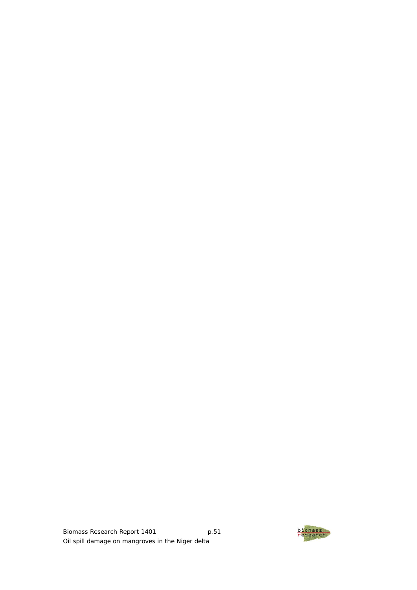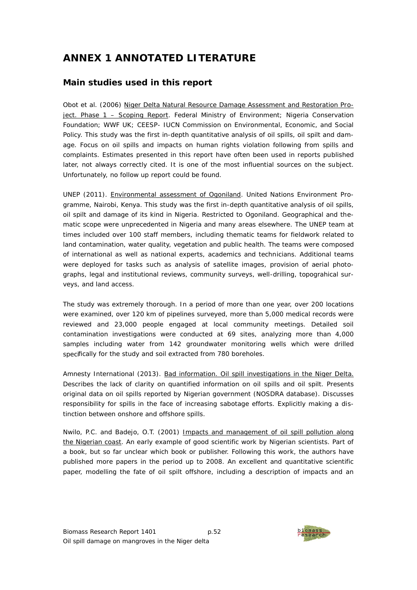# **ANNEX 1 ANNOTATED LITERATURE**

#### **Main studies used in this report**

Obot *et al.* (2006) Niger Delta Natural Resource Damage Assessment and Restoration Project. Phase 1 – Scoping Report. Federal Ministry of Environment; Nigeria Conservation Foundation; WWF UK; CEESP- IUCN Commission on Environmental, Economic, and Social Policy. This study was the first in-depth quantitative analysis of oil spills, oil spilt and damage. Focus on oil spills and impacts on human rights violation following from spills and complaints. Estimates presented in this report have often been used in reports published later, not always correctly cited. It is one of the most influential sources on the subject. Unfortunately, no follow up report could be found.

UNEP (2011). Environmental assessment of Ogoniland. United Nations Environment Programme, Nairobi, Kenya. This study was the first in-depth quantitative analysis of oil spills, oil spilt and damage of its kind in Nigeria. Restricted to Ogoniland. Geographical and thematic scope were unprecedented in Nigeria and many areas elsewhere. The UNEP team at times included over 100 staff members, including thematic teams for fieldwork related to land contamination, water quality, vegetation and public health. The teams were composed of international as well as national experts, academics and technicians. Additional teams were deployed for tasks such as analysis of satellite images, provision of aerial photographs, legal and institutional reviews, community surveys, well-drilling, topograhical surveys, and land access.

The study was extremely thorough. In a period of more than one year, over 200 locations were examined, over 120 km of pipelines surveyed, more than 5,000 medical records were reviewed and 23,000 people engaged at local community meetings. Detailed soil contamination investigations were conducted at 69 sites, analyzing more than 4,000 samples including water from 142 groundwater monitoring wells which were drilled specifically for the study and soil extracted from 780 boreholes.

Amnesty International (2013). Bad information. Oil spill investigations in the Niger Delta. Describes the lack of clarity on quantified information on oil spills and oil spilt. Presents original data on oil spills reported by Nigerian government (NOSDRA database). Discusses responsibility for spills in the face of increasing sabotage efforts. Explicitly making a distinction between onshore and offshore spills.

Nwilo, P.C. and Badejo, O.T. (2001) Impacts and management of oil spill pollution along the Nigerian coast. An early example of good scientific work by Nigerian scientists. Part of a book, but so far unclear which book or publisher. Following this work, the authors have published more papers in the period up to 2008. An excellent and quantitative scientific paper, modelling the fate of oil spilt offshore, including a description of impacts and an

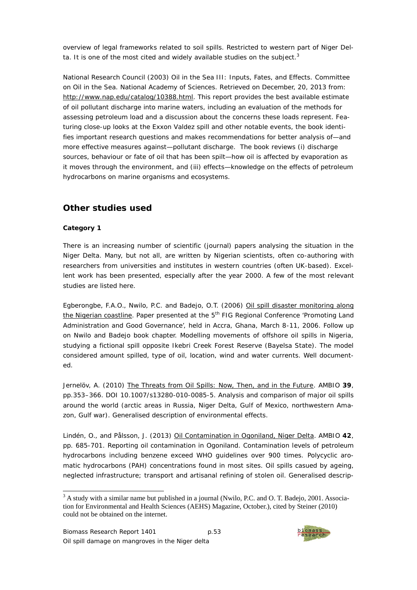overview of legal frameworks related to soil spills. Restricted to western part of Niger Delta. It is one of the most cited and widely available studies on the subject. $3$ 

National Research Council (2003) Oil in the Sea III: Inputs, Fates, and Effects. Committee on Oil in the Sea. National Academy of Sciences. Retrieved on December, 20, 2013 from: http://www.nap.edu/catalog/10388.html. This report provides the best available estimate of oil pollutant discharge into marine waters, including an evaluation of the methods for assessing petroleum load and a discussion about the concerns these loads represent. Featuring close-up looks at the Exxon Valdez spill and other notable events, the book identifies important research questions and makes recommendations for better analysis of—and more effective measures against—pollutant discharge. The book reviews (i) discharge sources, behaviour or fate of oil that has been spilt—how oil is affected by evaporation as it moves through the environment, and (iii) effects—knowledge on the effects of petroleum hydrocarbons on marine organisms and ecosystems.

#### **Other studies used**

#### **Category 1**

There is an increasing number of scientific (journal) papers analysing the situation in the Niger Delta. Many, but not all, are written by Nigerian scientists, often co-authoring with researchers from universities and institutes in western countries (often UK-based). Excellent work has been presented, especially after the year 2000. A few of the most relevant studies are listed here.

Egberongbe, F.A.O., Nwilo, P.C. and Badejo, O.T. (2006) Oil spill disaster monitoring along the Nigerian coastline. Paper presented at the 5<sup>th</sup> FIG Regional Conference 'Promoting Land Administration and Good Governance', held in Accra, Ghana, March 8-11, 2006. Follow up on Nwilo and Badejo book chapter. Modelling movements of offshore oil spills in Nigeria, studying a fictional spill opposite Ikebri Creek Forest Reserve (Bayelsa State). The model considered amount spilled, type of oil, location, wind and water currents. Well documented.

Jernelöv, A. (2010) The Threats from Oil Spills: Now, Then, and in the Future. *AMBIO* **39**, pp.353–366. DOI 10.1007/s13280-010-0085-5. Analysis and comparison of major oil spills around the world (arctic areas in Russia, Niger Delta, Gulf of Mexico, northwestern Amazon, Gulf war). Generalised description of environmental effects.

Lindén, O., and Pålsson, J. (2013) Oil Contamination in Ogoniland, Niger Delta. *AMBIO* **42**, pp. 685-701. Reporting oil contamination in Ogoniland. Contamination levels of petroleum hydrocarbons including benzene exceed WHO guidelines over 900 times. Polycyclic aromatic hydrocarbons (PAH) concentrations found in most sites. Oil spills casued by ageing, neglected infrastructure; transport and artisanal refining of stolen oil. Generalised descrip-



<sup>&</sup>lt;sup>3</sup> A study with a similar name but published in a journal (Nwilo, P.C. and O. T. Badejo, 2001. Association for Environmental and Health Sciences (AEHS) Magazine, October.), cited by Steiner (2010) could not be obtained on the internet.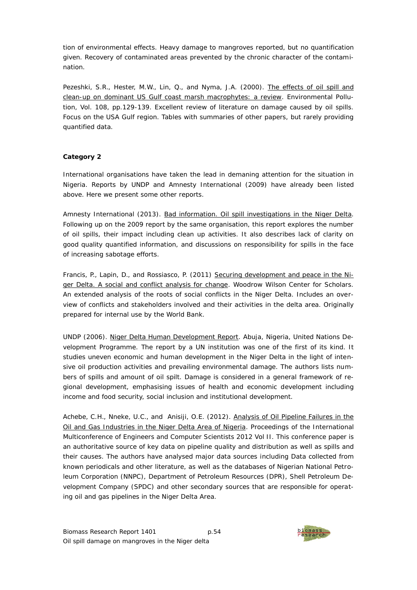tion of environmental effects. Heavy damage to mangroves reported, but no quantification given. Recovery of contaminated areas prevented by the chronic character of the contamination.

Pezeshki, S.R., Hester, M.W., Lin, Q., and Nyma, J.A. (2000). The effects of oil spill and clean-up on dominant US Gulf coast marsh macrophytes: a review. *Environmental Pollution*, Vol. 108, pp.129-139. Excellent review of literature on damage caused by oil spills. Focus on the USA Gulf region. Tables with summaries of other papers, but rarely providing quantified data.

#### **Category 2**

International organisations have taken the lead in demaning attention for the situation in Nigeria. Reports by UNDP and Amnesty International (2009) have already been listed above. Here we present some other reports.

Amnesty International (2013). Bad information. Oil spill investigations in the Niger Delta. Following up on the 2009 report by the same organisation, this report explores the number of oil spills, their impact including clean up activities. It also describes lack of clarity on good quality quantified information, and discussions on responsibility for spills in the face of increasing sabotage efforts.

Francis, P., Lapin, D., and Rossiasco, P. (2011) Securing development and peace in the Niger Delta. A social and conflict analysis for change. Woodrow Wilson Center for Scholars. An extended analysis of the roots of social conflicts in the Niger Delta. Includes an overview of conflicts and stakeholders involved and their activities in the delta area. Originally prepared for internal use by the World Bank.

UNDP (2006). Niger Delta Human Development Report. Abuja, Nigeria, United Nations Development Programme. The report by a UN institution was one of the first of its kind. It studies uneven economic and human development in the Niger Delta in the light of intensive oil production activities and prevailing environmental damage. The authors lists numbers of spills and amount of oil spilt. Damage is considered in a general framework of regional development, emphasising issues of health and economic development including income and food security, social inclusion and institutional development.

Achebe, C.H., Nneke, U.C., and Anisiji, O.E. (2012). Analysis of Oil Pipeline Failures in the Oil and Gas Industries in the Niger Delta Area of Nigeria. Proceedings of the International Multiconference of Engineers and Computer Scientists 2012 Vol II. This conference paper is an authoritative source of key data on pipeline quality and distribution as well as spills and their causes. The authors have analysed major data sources including Data collected from known periodicals and other literature, as well as the databases of Nigerian National Petroleum Corporation (NNPC), Department of Petroleum Resources (DPR), Shell Petroleum Development Company (SPDC) and other secondary sources that are responsible for operating oil and gas pipelines in the Niger Delta Area.

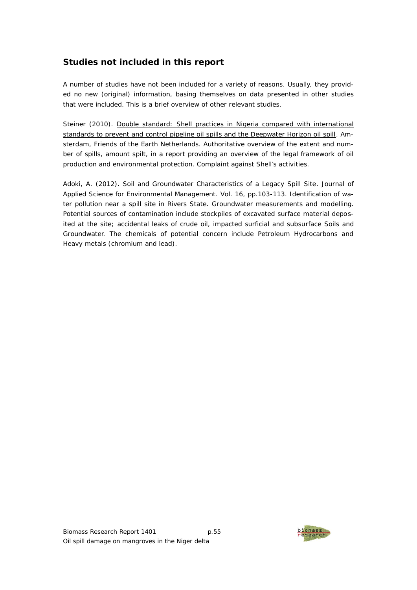#### **Studies not included in this report**

A number of studies have not been included for a variety of reasons. Usually, they provided no new (original) information, basing themselves on data presented in other studies that were included. This is a brief overview of other relevant studies.

Steiner (2010). Double standard: Shell practices in Nigeria compared with international standards to prevent and control pipeline oil spills and the Deepwater Horizon oil spill. Amsterdam, Friends of the Earth Netherlands. Authoritative overview of the extent and number of spills, amount spilt, in a report providing an overview of the legal framework of oil production and environmental protection. Complaint against Shell's activities.

Adoki, A. (2012). Soil and Groundwater Characteristics of a Legacy Spill Site. *Journal of Applied Science for Environmental Management*. Vol. 16, pp.103-113. Identification of water pollution near a spill site in Rivers State. Groundwater measurements and modelling. Potential sources of contamination include stockpiles of excavated surface material deposited at the site; accidental leaks of crude oil, impacted surficial and subsurface Soils and Groundwater. The chemicals of potential concern include Petroleum Hydrocarbons and Heavy metals (chromium and lead).